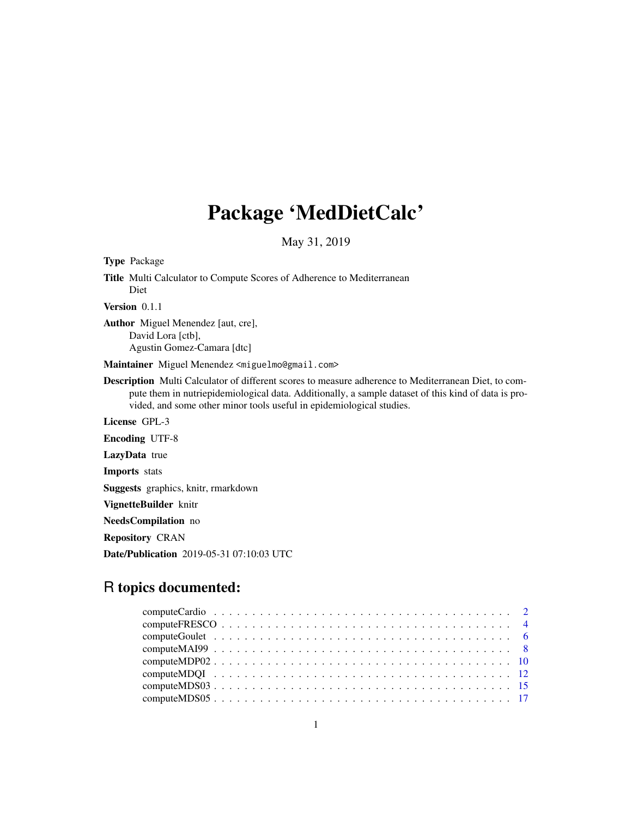## Package 'MedDietCalc'

May 31, 2019

Type Package Title Multi Calculator to Compute Scores of Adherence to Mediterranean Diet Version 0.1.1 Author Miguel Menendez [aut, cre], David Lora [ctb], Agustin Gomez-Camara [dtc] Maintainer Miguel Menendez <miguelmo@gmail.com> Description Multi Calculator of different scores to measure adherence to Mediterranean Diet, to compute them in nutriepidemiological data. Additionally, a sample dataset of this kind of data is provided, and some other minor tools useful in epidemiological studies. License GPL-3 Encoding UTF-8 LazyData true Imports stats Suggests graphics, knitr, rmarkdown VignetteBuilder knitr NeedsCompilation no Repository CRAN Date/Publication 2019-05-31 07:10:03 UTC

## R topics documented: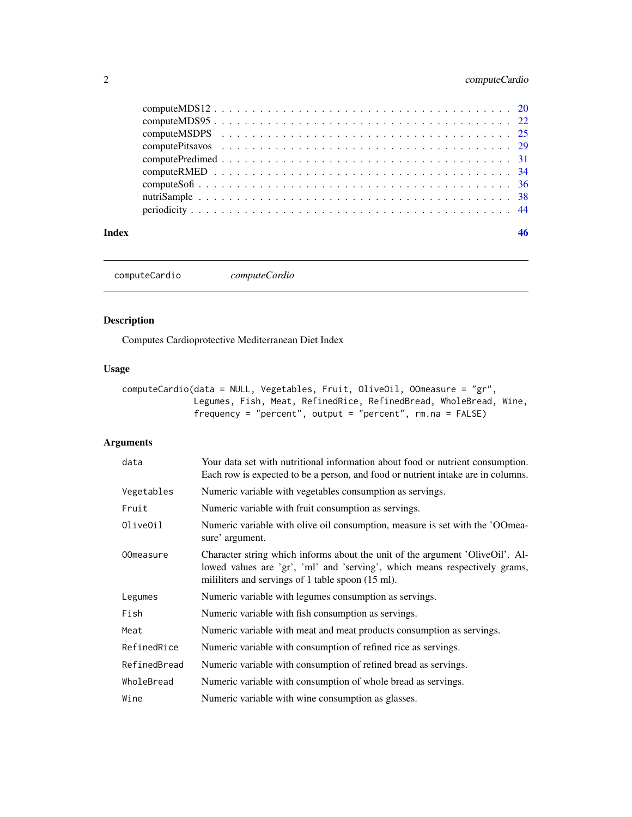## <span id="page-1-0"></span>2 computeCardio

#### **Index a** set of the set of the set of the set of the set of the set of the set of the set of the set of the set of the set of the set of the set of the set of the set of the set of the set of the set of the set of the s

computeCardio *computeCardio*

## Description

Computes Cardioprotective Mediterranean Diet Index

## Usage

```
computeCardio(data = NULL, Vegetables, Fruit, OliveOil, OOmeasure = "gr",
              Legumes, Fish, Meat, RefinedRice, RefinedBread, WholeBread, Wine,
              frequency = "percent", output = "percent", rm.na = FALSE)
```

| data             | Your data set with nutritional information about food or nutrient consumption.<br>Each row is expected to be a person, and food or nutrient intake are in columns.                                               |
|------------------|------------------------------------------------------------------------------------------------------------------------------------------------------------------------------------------------------------------|
| Vegetables       | Numeric variable with vegetables consumption as servings.                                                                                                                                                        |
| Fruit            | Numeric variable with fruit consumption as servings.                                                                                                                                                             |
| OliveOil         | Numeric variable with olive oil consumption, measure is set with the 'OOmea-<br>sure' argument.                                                                                                                  |
| <b>OOmeasure</b> | Character string which informs about the unit of the argument 'OliveOil'. Al-<br>lowed values are 'gr', 'ml' and 'serving', which means respectively grams,<br>mililiters and servings of 1 table spoon (15 ml). |
| Legumes          | Numeric variable with legumes consumption as servings.                                                                                                                                                           |
| Fish             | Numeric variable with fish consumption as servings.                                                                                                                                                              |
| Meat             | Numeric variable with meat and meat products consumption as servings.                                                                                                                                            |
| RefinedRice      | Numeric variable with consumption of refined rice as servings.                                                                                                                                                   |
| RefinedBread     | Numeric variable with consumption of refined bread as servings.                                                                                                                                                  |
| WholeBread       | Numeric variable with consumption of whole bread as servings.                                                                                                                                                    |
| Wine             | Numeric variable with wine consumption as glasses.                                                                                                                                                               |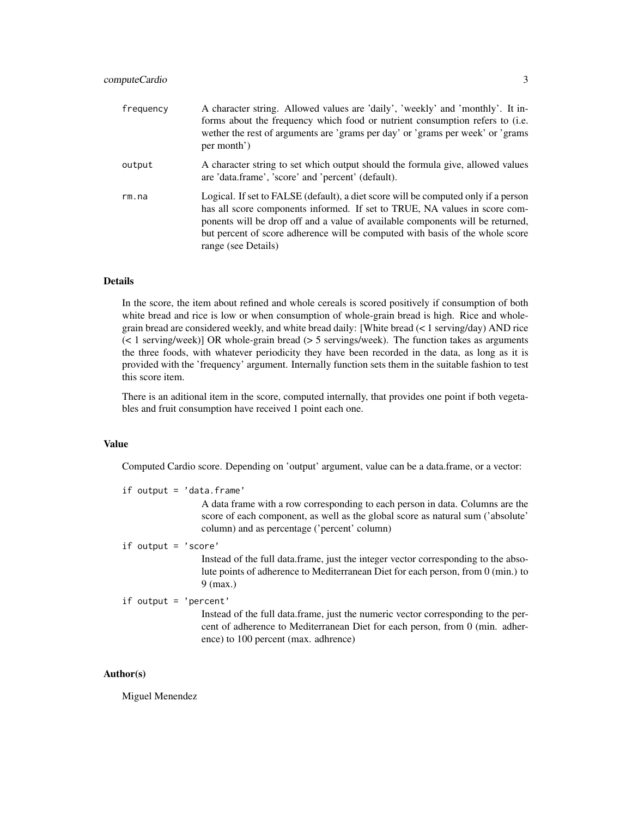| frequency | A character string. Allowed values are 'daily', 'weekly' and 'monthly'. It in-<br>forms about the frequency which food or nutrient consumption refers to (i.e.<br>wether the rest of arguments are 'grams per day' or 'grams per week' or 'grams<br>per month')                                                                                            |
|-----------|------------------------------------------------------------------------------------------------------------------------------------------------------------------------------------------------------------------------------------------------------------------------------------------------------------------------------------------------------------|
| output    | A character string to set which output should the formula give, allowed values<br>are 'data.frame', 'score' and 'percent' (default).                                                                                                                                                                                                                       |
| rm. na    | Logical. If set to FALSE (default), a diet score will be computed only if a person<br>has all score components informed. If set to TRUE, NA values in score com-<br>ponents will be drop off and a value of available components will be returned,<br>but percent of score adherence will be computed with basis of the whole score<br>range (see Details) |

## Details

In the score, the item about refined and whole cereals is scored positively if consumption of both white bread and rice is low or when consumption of whole-grain bread is high. Rice and wholegrain bread are considered weekly, and white bread daily: [White bread (< 1 serving/day) AND rice (< 1 serving/week)] OR whole-grain bread (> 5 servings/week). The function takes as arguments the three foods, with whatever periodicity they have been recorded in the data, as long as it is provided with the 'frequency' argument. Internally function sets them in the suitable fashion to test this score item.

There is an aditional item in the score, computed internally, that provides one point if both vegetables and fruit consumption have received 1 point each one.

#### Value

Computed Cardio score. Depending on 'output' argument, value can be a data.frame, or a vector:

if output = 'data.frame'

A data frame with a row corresponding to each person in data. Columns are the score of each component, as well as the global score as natural sum ('absolute' column) and as percentage ('percent' column)

if output = 'score'

Instead of the full data.frame, just the integer vector corresponding to the absolute points of adherence to Mediterranean Diet for each person, from 0 (min.) to 9 (max.)

if output = 'percent'

Instead of the full data.frame, just the numeric vector corresponding to the percent of adherence to Mediterranean Diet for each person, from 0 (min. adherence) to 100 percent (max. adhrence)

#### Author(s)

Miguel Menendez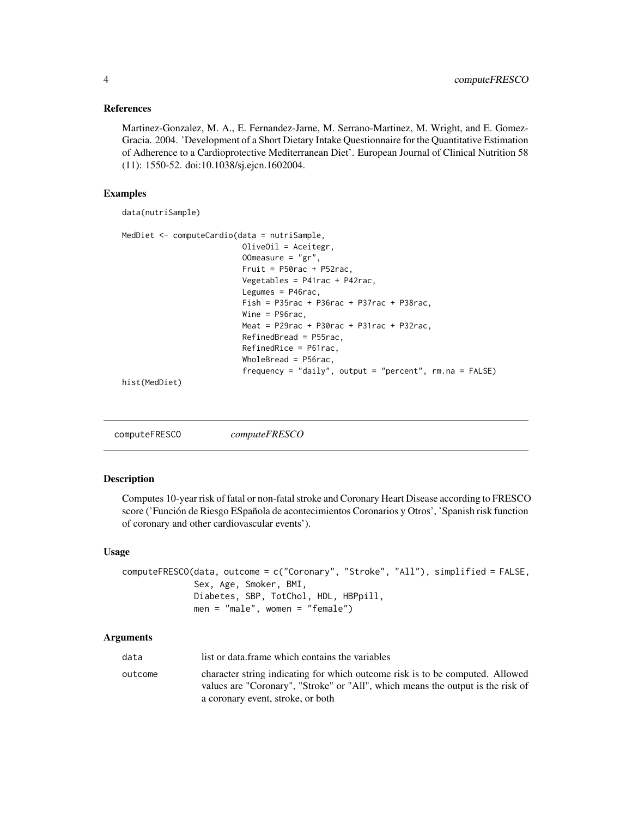#### <span id="page-3-0"></span>References

Martinez-Gonzalez, M. A., E. Fernandez-Jarne, M. Serrano-Martinez, M. Wright, and E. Gomez-Gracia. 2004. 'Development of a Short Dietary Intake Questionnaire for the Quantitative Estimation of Adherence to a Cardioprotective Mediterranean Diet'. European Journal of Clinical Nutrition 58 (11): 1550-52. doi:10.1038/sj.ejcn.1602004.

#### Examples

data(nutriSample)

```
MedDiet <- computeCardio(data = nutriSample,
                          OliveOil = Aceitegr,
                          OOmeasure = "gr",Fruit = P50rac + P52racVegetables = P41rac + P42rac,
                          Legumes = P46rac,
                          Fish = P35rac + P36rac + P37rac + P38rac,
                          Wine = P96rac,
                          Meat = P29rac + P30rac + P31rac + P32rac,
                          RefinedBread = P55rac,
                          RefinedRice = P61rac,
                          WholeBread = P56rac,
                          frequency = "daily", output = "percent", rm.na = FALSE)
hist(MedDiet)
```
computeFRESCO *computeFRESCO*

#### Description

Computes 10-year risk of fatal or non-fatal stroke and Coronary Heart Disease according to FRESCO score ('Función de Riesgo ESpañola de acontecimientos Coronarios y Otros', 'Spanish risk function of coronary and other cardiovascular events').

#### Usage

```
computeFRESCO(data, outcome = c("Coronary", "Stroke", "All"), simplified = FALSE,
              Sex, Age, Smoker, BMI,
              Diabetes, SBP, TotChol, HDL, HBPpill,
              men = "male", women = "female")
```

| data    | list or data. frame which contains the variables                                                                                                                 |
|---------|------------------------------------------------------------------------------------------------------------------------------------------------------------------|
| outcome | character string indicating for which outcome risk is to be computed. Allowed<br>values are "Coronary", "Stroke" or "All", which means the output is the risk of |
|         | a coronary event, stroke, or both                                                                                                                                |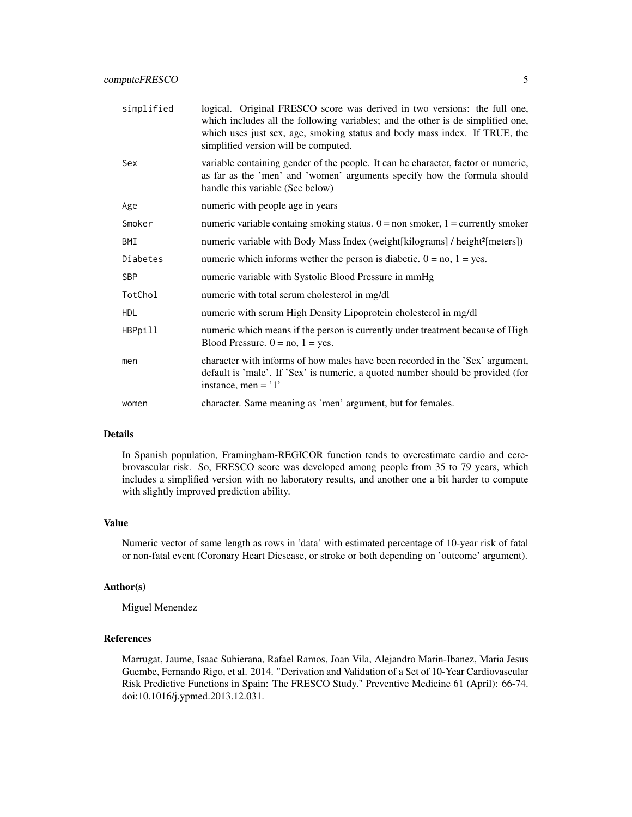| simplified | logical. Original FRESCO score was derived in two versions: the full one,<br>which includes all the following variables; and the other is de simplified one,<br>which uses just sex, age, smoking status and body mass index. If TRUE, the<br>simplified version will be computed. |
|------------|------------------------------------------------------------------------------------------------------------------------------------------------------------------------------------------------------------------------------------------------------------------------------------|
| Sex        | variable containing gender of the people. It can be character, factor or numeric,<br>as far as the 'men' and 'women' arguments specify how the formula should<br>handle this variable (See below)                                                                                  |
| Age        | numeric with people age in years                                                                                                                                                                                                                                                   |
| Smoker     | numeric variable containg smoking status. $0 =$ non smoker, $1 =$ currently smoker                                                                                                                                                                                                 |
| BMI        | numeric variable with Body Mass Index (weight[kilograms] / height <sup>2</sup> [meters])                                                                                                                                                                                           |
| Diabetes   | numeric which informs wether the person is diabetic. $0 = no$ , $1 = yes$ .                                                                                                                                                                                                        |
| <b>SBP</b> | numeric variable with Systolic Blood Pressure in mmHg                                                                                                                                                                                                                              |
| TotChol    | numeric with total serum cholesterol in mg/dl                                                                                                                                                                                                                                      |
| <b>HDL</b> | numeric with serum High Density Lipoprotein cholesterol in mg/dl                                                                                                                                                                                                                   |
| HBPpill    | numeric which means if the person is currently under treatment because of High<br>Blood Pressure. $0 = no$ , $1 = yes$ .                                                                                                                                                           |
| men        | character with informs of how males have been recorded in the 'Sex' argument,<br>default is 'male'. If 'Sex' is numeric, a quoted number should be provided (for<br>instance, men = $'1'$                                                                                          |
| women      | character. Same meaning as 'men' argument, but for females.                                                                                                                                                                                                                        |

#### Details

In Spanish population, Framingham-REGICOR function tends to overestimate cardio and cerebrovascular risk. So, FRESCO score was developed among people from 35 to 79 years, which includes a simplified version with no laboratory results, and another one a bit harder to compute with slightly improved prediction ability.

#### Value

Numeric vector of same length as rows in 'data' with estimated percentage of 10-year risk of fatal or non-fatal event (Coronary Heart Diesease, or stroke or both depending on 'outcome' argument).

#### Author(s)

Miguel Menendez

## References

Marrugat, Jaume, Isaac Subierana, Rafael Ramos, Joan Vila, Alejandro Marin-Ibanez, Maria Jesus Guembe, Fernando Rigo, et al. 2014. "Derivation and Validation of a Set of 10-Year Cardiovascular Risk Predictive Functions in Spain: The FRESCO Study." Preventive Medicine 61 (April): 66-74. doi:10.1016/j.ypmed.2013.12.031.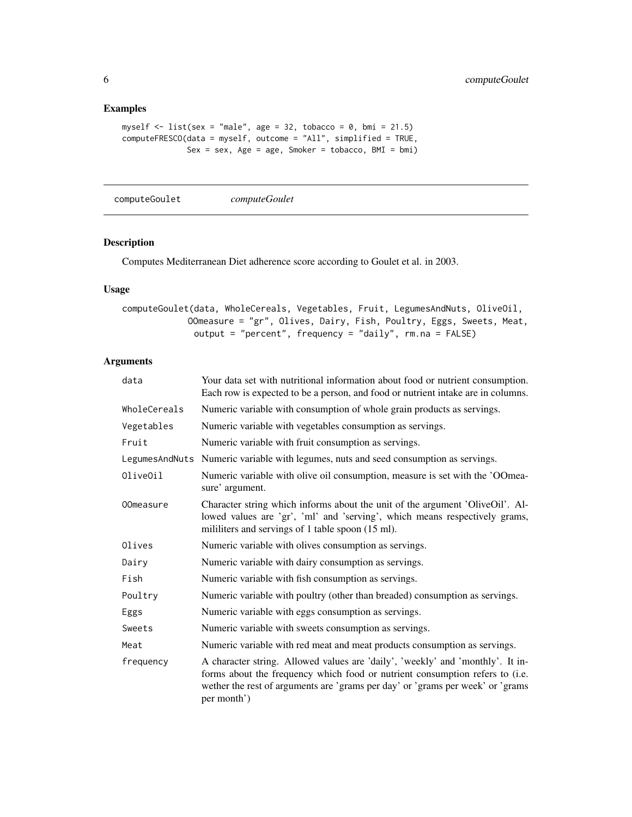## Examples

```
myself \le list(sex = "male", age = 32, tobacco = 0, bmi = 21.5)
computeFRESCO(data = myself, outcome = "All", simplified = TRUE,
              Sex = sex, Age = age, Smoker = tobacco, BMI = bmi)
```
computeGoulet *computeGoulet*

## Description

Computes Mediterranean Diet adherence score according to Goulet et al. in 2003.

## Usage

```
computeGoulet(data, WholeCereals, Vegetables, Fruit, LegumesAndNuts, OliveOil,
            OOmeasure = "gr", Olives, Dairy, Fish, Poultry, Eggs, Sweets, Meat,
              output = "percent", frequency = "daily", rm.na = FALSE)
```

| data             | Your data set with nutritional information about food or nutrient consumption.<br>Each row is expected to be a person, and food or nutrient intake are in columns.                                                                                              |
|------------------|-----------------------------------------------------------------------------------------------------------------------------------------------------------------------------------------------------------------------------------------------------------------|
| WholeCereals     | Numeric variable with consumption of whole grain products as servings.                                                                                                                                                                                          |
| Vegetables       | Numeric variable with vegetables consumption as servings.                                                                                                                                                                                                       |
| Fruit            | Numeric variable with fruit consumption as servings.                                                                                                                                                                                                            |
| LegumesAndNuts   | Numeric variable with legumes, nuts and seed consumption as servings.                                                                                                                                                                                           |
| OliveOil         | Numeric variable with olive oil consumption, measure is set with the 'OOmea-<br>sure' argument.                                                                                                                                                                 |
| <b>OOmeasure</b> | Character string which informs about the unit of the argument 'OliveOil'. Al-<br>lowed values are 'gr', 'ml' and 'serving', which means respectively grams,<br>mililiters and servings of 1 table spoon (15 ml).                                                |
| Olives           | Numeric variable with olives consumption as servings.                                                                                                                                                                                                           |
| Dairy            | Numeric variable with dairy consumption as servings.                                                                                                                                                                                                            |
| Fish             | Numeric variable with fish consumption as servings.                                                                                                                                                                                                             |
| Poultry          | Numeric variable with poultry (other than breaded) consumption as servings.                                                                                                                                                                                     |
| Eggs             | Numeric variable with eggs consumption as servings.                                                                                                                                                                                                             |
| Sweets           | Numeric variable with sweets consumption as servings.                                                                                                                                                                                                           |
| Meat             | Numeric variable with red meat and meat products consumption as servings.                                                                                                                                                                                       |
| frequency        | A character string. Allowed values are 'daily', 'weekly' and 'monthly'. It in-<br>forms about the frequency which food or nutrient consumption refers to (i.e.<br>wether the rest of arguments are 'grams per day' or 'grams per week' or 'grams<br>per month') |

<span id="page-5-0"></span>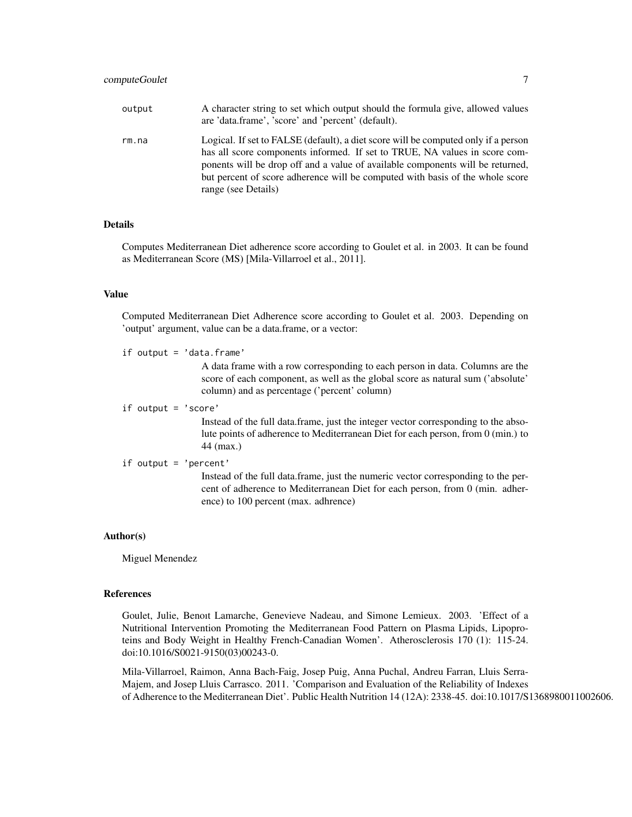| output | A character string to set which output should the formula give, allowed values<br>are 'data.frame', 'score' and 'percent' (default).                                                                                                                                                                                                                       |
|--------|------------------------------------------------------------------------------------------------------------------------------------------------------------------------------------------------------------------------------------------------------------------------------------------------------------------------------------------------------------|
| rm.na  | Logical. If set to FALSE (default), a diet score will be computed only if a person<br>has all score components informed. If set to TRUE, NA values in score com-<br>ponents will be drop off and a value of available components will be returned,<br>but percent of score adherence will be computed with basis of the whole score<br>range (see Details) |

## Details

Computes Mediterranean Diet adherence score according to Goulet et al. in 2003. It can be found as Mediterranean Score (MS) [Mila-Villarroel et al., 2011].

#### Value

Computed Mediterranean Diet Adherence score according to Goulet et al. 2003. Depending on 'output' argument, value can be a data.frame, or a vector:

if output = 'data.frame'

A data frame with a row corresponding to each person in data. Columns are the score of each component, as well as the global score as natural sum ('absolute' column) and as percentage ('percent' column)

if output = 'score'

Instead of the full data.frame, just the integer vector corresponding to the absolute points of adherence to Mediterranean Diet for each person, from 0 (min.) to 44 (max.)

#### if output = 'percent'

Instead of the full data.frame, just the numeric vector corresponding to the percent of adherence to Mediterranean Diet for each person, from 0 (min. adherence) to 100 percent (max. adhrence)

#### Author(s)

Miguel Menendez

#### References

Goulet, Julie, Benoıt Lamarche, Genevieve Nadeau, and Simone Lemieux. 2003. 'Effect of a Nutritional Intervention Promoting the Mediterranean Food Pattern on Plasma Lipids, Lipoproteins and Body Weight in Healthy French-Canadian Women'. Atherosclerosis 170 (1): 115-24. doi:10.1016/S0021-9150(03)00243-0.

Mila-Villarroel, Raimon, Anna Bach-Faig, Josep Puig, Anna Puchal, Andreu Farran, Lluis Serra-Majem, and Josep Lluis Carrasco. 2011. 'Comparison and Evaluation of the Reliability of Indexes of Adherence to the Mediterranean Diet'. Public Health Nutrition 14 (12A): 2338-45. doi:10.1017/S1368980011002606.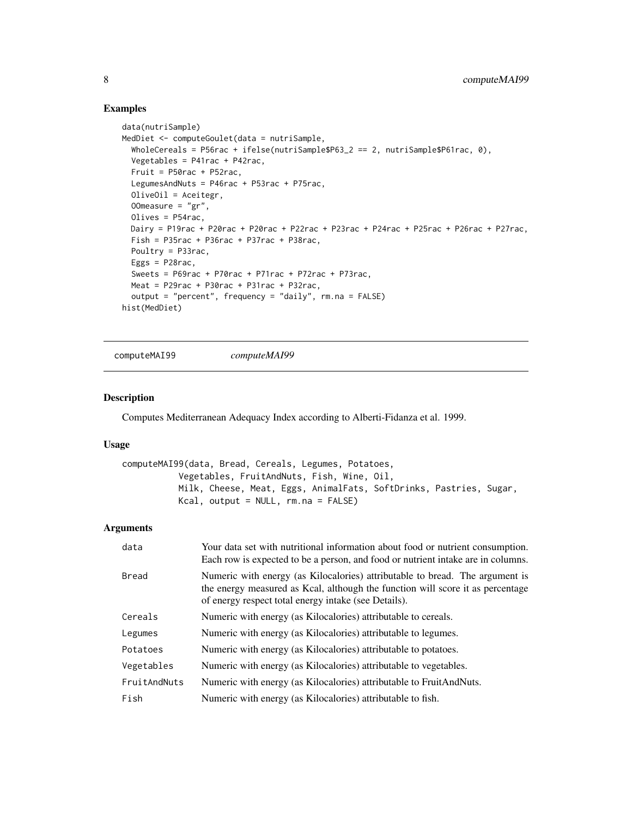#### Examples

```
data(nutriSample)
MedDiet <- computeGoulet(data = nutriSample,
  WholeCereals = P56rac + ifelse(nutriSample$P63_2 == 2, nutriSample$P61rac, 0),
  Vegetables = P41rac + P42rac,
  Fruit = P50rac + P52rac,
  LegumesAndNuts = P46rac + P53rac + P75rac,
  OliveOil = Aceitegr,
  OOmeasure = "gr",
  Olives = P54rac,
  Dairy = P19rac + P20rac + P20rac + P22rac + P23rac + P24rac + P25rac + P26rac + P27rac,
  Fish = P35rac + P36rac + P37rac + P38rac,
  Poultry = P33rac,
  Eggs = P28rac,
  Sweets = P69rac + P70rac + P71rac + P72rac + P73rac,
  Meat = P29rac + P30rac + P31rac + P32rac,
  output = "percent", frequency = "daily", rm. na = FALSE)
hist(MedDiet)
```
computeMAI99 *computeMAI99*

## Description

Computes Mediterranean Adequacy Index according to Alberti-Fidanza et al. 1999.

#### Usage

```
computeMAI99(data, Bread, Cereals, Legumes, Potatoes,
           Vegetables, FruitAndNuts, Fish, Wine, Oil,
          Milk, Cheese, Meat, Eggs, AnimalFats, SoftDrinks, Pastries, Sugar,
          Kcal, output = NULL, rm.na = FALSE)
```

| data         | Your data set with nutritional information about food or nutrient consumption.<br>Each row is expected to be a person, and food or nutrient intake are in columns.                                                     |
|--------------|------------------------------------------------------------------------------------------------------------------------------------------------------------------------------------------------------------------------|
| Bread        | Numeric with energy (as Kilocalories) attributable to bread. The argument is<br>the energy measured as Kcal, although the function will score it as percentage<br>of energy respect total energy intake (see Details). |
| Cereals      | Numeric with energy (as Kilocalories) attributable to cereals.                                                                                                                                                         |
| Legumes      | Numeric with energy (as Kilocalories) attributable to legumes.                                                                                                                                                         |
| Potatoes     | Numeric with energy (as Kilocalories) attributable to potatoes.                                                                                                                                                        |
| Vegetables   | Numeric with energy (as Kilocalories) attributable to vegetables.                                                                                                                                                      |
| FruitAndNuts | Numeric with energy (as Kilocalories) attributable to FruitAndNuts.                                                                                                                                                    |
| Fish         | Numeric with energy (as Kilocalories) attributable to fish.                                                                                                                                                            |

<span id="page-7-0"></span>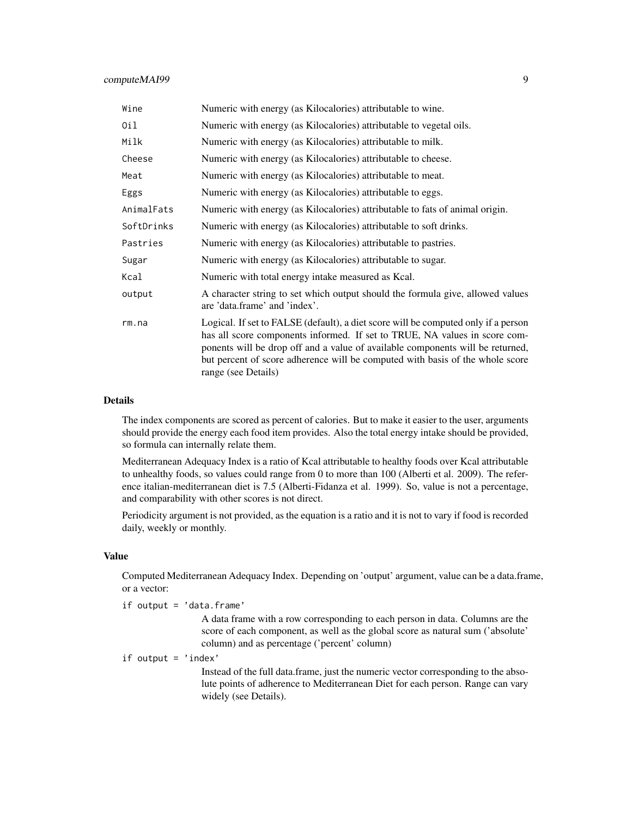#### computeMAI99 9

| Wine       | Numeric with energy (as Kilocalories) attributable to wine.                                                                                                                                                                                                                                                                                                |
|------------|------------------------------------------------------------------------------------------------------------------------------------------------------------------------------------------------------------------------------------------------------------------------------------------------------------------------------------------------------------|
| 0il        | Numeric with energy (as Kilocalories) attributable to vegetal oils.                                                                                                                                                                                                                                                                                        |
| Milk       | Numeric with energy (as Kilocalories) attributable to milk.                                                                                                                                                                                                                                                                                                |
| Cheese     | Numeric with energy (as Kilocalories) attributable to cheese.                                                                                                                                                                                                                                                                                              |
| Meat       | Numeric with energy (as Kilocalories) attributable to meat.                                                                                                                                                                                                                                                                                                |
| Eggs       | Numeric with energy (as Kilocalories) attributable to eggs.                                                                                                                                                                                                                                                                                                |
| AnimalFats | Numeric with energy (as Kilocalories) attributable to fats of animal origin.                                                                                                                                                                                                                                                                               |
| SoftDrinks | Numeric with energy (as Kilocalories) attributable to soft drinks.                                                                                                                                                                                                                                                                                         |
| Pastries   | Numeric with energy (as Kilocalories) attributable to pastries.                                                                                                                                                                                                                                                                                            |
| Sugar      | Numeric with energy (as Kilocalories) attributable to sugar.                                                                                                                                                                                                                                                                                               |
| Kcal       | Numeric with total energy intake measured as Kcal.                                                                                                                                                                                                                                                                                                         |
| output     | A character string to set which output should the formula give, allowed values<br>are 'data.frame' and 'index'.                                                                                                                                                                                                                                            |
| rm. na     | Logical. If set to FALSE (default), a diet score will be computed only if a person<br>has all score components informed. If set to TRUE, NA values in score com-<br>ponents will be drop off and a value of available components will be returned,<br>but percent of score adherence will be computed with basis of the whole score<br>range (see Details) |

#### Details

The index components are scored as percent of calories. But to make it easier to the user, arguments should provide the energy each food item provides. Also the total energy intake should be provided, so formula can internally relate them.

Mediterranean Adequacy Index is a ratio of Kcal attributable to healthy foods over Kcal attributable to unhealthy foods, so values could range from 0 to more than 100 (Alberti et al. 2009). The reference italian-mediterranean diet is 7.5 (Alberti-Fidanza et al. 1999). So, value is not a percentage, and comparability with other scores is not direct.

Periodicity argument is not provided, as the equation is a ratio and it is not to vary if food is recorded daily, weekly or monthly.

## Value

Computed Mediterranean Adequacy Index. Depending on 'output' argument, value can be a data.frame, or a vector:

if output = 'data.frame'

A data frame with a row corresponding to each person in data. Columns are the score of each component, as well as the global score as natural sum ('absolute' column) and as percentage ('percent' column)

if output = 'index'

Instead of the full data.frame, just the numeric vector corresponding to the absolute points of adherence to Mediterranean Diet for each person. Range can vary widely (see Details).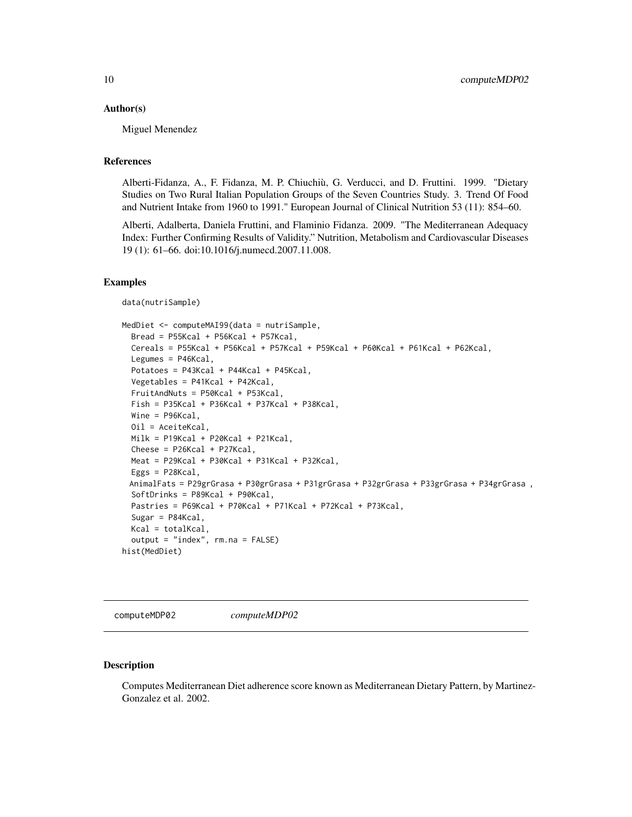#### <span id="page-9-0"></span>Author(s)

Miguel Menendez

#### References

Alberti-Fidanza, A., F. Fidanza, M. P. Chiuchiù, G. Verducci, and D. Fruttini. 1999. "Dietary Studies on Two Rural Italian Population Groups of the Seven Countries Study. 3. Trend Of Food and Nutrient Intake from 1960 to 1991." European Journal of Clinical Nutrition 53 (11): 854–60.

Alberti, Adalberta, Daniela Fruttini, and Flaminio Fidanza. 2009. "The Mediterranean Adequacy Index: Further Confirming Results of Validity." Nutrition, Metabolism and Cardiovascular Diseases 19 (1): 61–66. doi:10.1016/j.numecd.2007.11.008.

#### Examples

```
data(nutriSample)
```

```
MedDiet <- computeMAI99(data = nutriSample,
  Bread = P55Kcal + P56Kcal + P57Kcal,Cereals = P55Kcal + P56Kcal + P57Kcal + P59Kcal + P60Kcal + P61Kcal + P62Kcal,Legumes = P46Kcal,
  Potatoes = P43Kcal + P44Kcal + P45Kcal,
  Vegetables = P41Kcal + P42Kcal,
  FruitAndNuts = P50Kcal + P53Kcal,
  Fish = P35Kcal + P36Kcal + P37Kcal + P38Kcal,
  Wine = P96Kcal,
  Oil = AceiteKcal,
  Milk = P19Kcal + P20Kcal + P21Kcal,
  \text{Check} = P26Kcal + P27Kcal,Meat = P29Kcal + P30Kcal + P31Kcal + P32Kcal,
  Eggs = P28Kcal,
 AnimalFats = P29grGrasa + P30grGrasa + P31grGrasa + P32grGrasa + P33grGrasa + P34grGrasa ,
  SoftDrinks = P89Kcal + P90Kcal,
  Pastries = P69Kcal + P70Kcal + P71Kcal + P72Kcal + P73Kcal,
  Sugar = P84Kcal,
  Kcal = totalKcal,
  output = "index", rm.na = FALSE)
hist(MedDiet)
```
computeMDP02 *computeMDP02*

#### **Description**

Computes Mediterranean Diet adherence score known as Mediterranean Dietary Pattern, by Martinez-Gonzalez et al. 2002.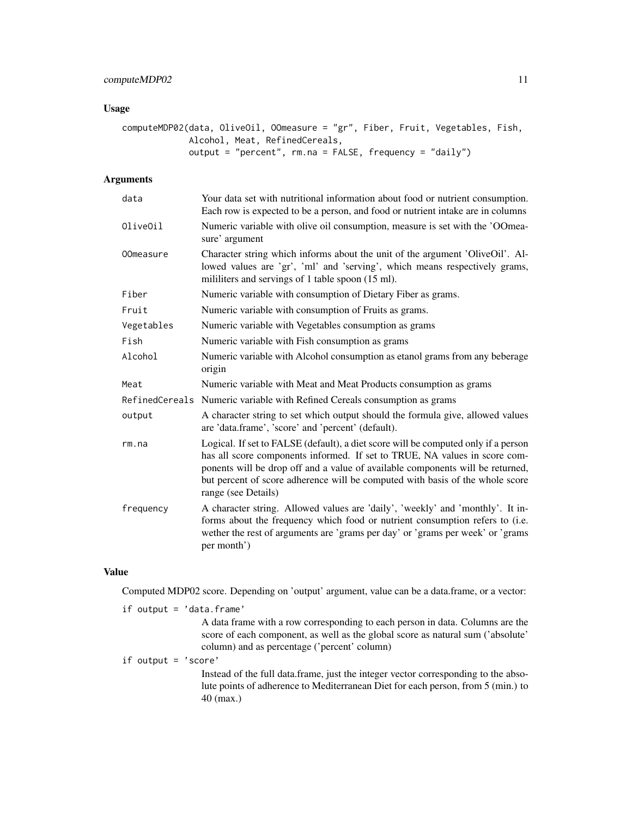## computeMDP02 11

## Usage

```
computeMDP02(data, OliveOil, OOmeasure = "gr", Fiber, Fruit, Vegetables, Fish,
             Alcohol, Meat, RefinedCereals,
             output = "percent", rm.na = FALSE, frequency = "daily")
```
## Arguments

| data             | Your data set with nutritional information about food or nutrient consumption.<br>Each row is expected to be a person, and food or nutrient intake are in columns                                                                                                                                                                                          |
|------------------|------------------------------------------------------------------------------------------------------------------------------------------------------------------------------------------------------------------------------------------------------------------------------------------------------------------------------------------------------------|
| OliveOil         | Numeric variable with olive oil consumption, measure is set with the 'OOmea-<br>sure' argument                                                                                                                                                                                                                                                             |
| <b>OOmeasure</b> | Character string which informs about the unit of the argument 'OliveOil'. Al-<br>lowed values are 'gr', 'ml' and 'serving', which means respectively grams,<br>mililiters and servings of 1 table spoon (15 ml).                                                                                                                                           |
| Fiber            | Numeric variable with consumption of Dietary Fiber as grams.                                                                                                                                                                                                                                                                                               |
| Fruit            | Numeric variable with consumption of Fruits as grams.                                                                                                                                                                                                                                                                                                      |
| Vegetables       | Numeric variable with Vegetables consumption as grams                                                                                                                                                                                                                                                                                                      |
| Fish             | Numeric variable with Fish consumption as grams                                                                                                                                                                                                                                                                                                            |
| Alcohol          | Numeric variable with Alcohol consumption as etanol grams from any beberage<br>origin                                                                                                                                                                                                                                                                      |
| Meat             | Numeric variable with Meat and Meat Products consumption as grams                                                                                                                                                                                                                                                                                          |
|                  | RefinedCereals Numeric variable with Refined Cereals consumption as grams                                                                                                                                                                                                                                                                                  |
| output           | A character string to set which output should the formula give, allowed values<br>are 'data.frame', 'score' and 'percent' (default).                                                                                                                                                                                                                       |
| rm. na           | Logical. If set to FALSE (default), a diet score will be computed only if a person<br>has all score components informed. If set to TRUE, NA values in score com-<br>ponents will be drop off and a value of available components will be returned,<br>but percent of score adherence will be computed with basis of the whole score<br>range (see Details) |
| frequency        | A character string. Allowed values are 'daily', 'weekly' and 'monthly'. It in-<br>forms about the frequency which food or nutrient consumption refers to (i.e.<br>wether the rest of arguments are 'grams per day' or 'grams per week' or 'grams<br>per month')                                                                                            |

#### Value

Computed MDP02 score. Depending on 'output' argument, value can be a data.frame, or a vector:

|  | if output = $'$ data.frame'                                                                                                                                                                                      |
|--|------------------------------------------------------------------------------------------------------------------------------------------------------------------------------------------------------------------|
|  | A data frame with a row corresponding to each person in data. Columns are the<br>score of each component, as well as the global score as natural sum ('absolute'<br>column) and as percentage ('percent' column) |
|  | if output = $\text{'score'}$                                                                                                                                                                                     |
|  | Instead of the full data frame, just the integer vector corresponding to the abso-<br>lute points of adherence to Mediterranean Diet for each person, from 5 (min.) to<br>$40$ (max.)                            |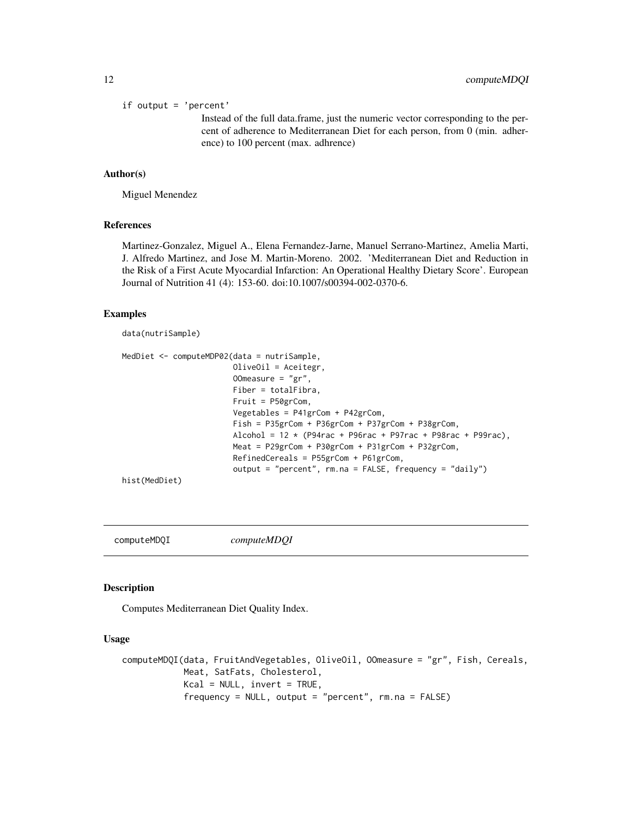<span id="page-11-0"></span>if output = 'percent'

Instead of the full data.frame, just the numeric vector corresponding to the percent of adherence to Mediterranean Diet for each person, from 0 (min. adherence) to 100 percent (max. adhrence)

#### Author(s)

Miguel Menendez

#### References

Martinez-Gonzalez, Miguel A., Elena Fernandez-Jarne, Manuel Serrano-Martinez, Amelia Marti, J. Alfredo Martinez, and Jose M. Martin-Moreno. 2002. 'Mediterranean Diet and Reduction in the Risk of a First Acute Myocardial Infarction: An Operational Healthy Dietary Score'. European Journal of Nutrition 41 (4): 153-60. doi:10.1007/s00394-002-0370-6.

#### Examples

data(nutriSample)

```
MedDiet <- computeMDP02(data = nutriSample,
                        OliveOil = Aceitegr,
                        OOmeasure = "gr",
                        Fiber = totalFibra,
                        Fruit = P50grCom,
                        Vegetables = P41grCom + P42grCom,
                        Fish = P35grCom + P36grCom + P37grCom + P38grCom,
                        Alcohol = 12 * (P94rac + P96rac + P97rac + P98rac + P98rac + P99rac)Meat = P29grCom + P30grCom + P31grCom + P32grCom,
                        RefinedCereals = P55grCom + P61grCom,
                        output = "percent", rm.na = FALSE, frequency = "daily")
hist(MedDiet)
```
computeMDQI *computeMDQI*

#### Description

Computes Mediterranean Diet Quality Index.

#### Usage

```
computeMDQI(data, FruitAndVegetables, OliveOil, OOmeasure = "gr", Fish, Cereals,
            Meat, SatFats, Cholesterol,
            Kcal = NULL, invert = TRUE,
            frequency = NULL, output = "percent", rm.na = FALSE)
```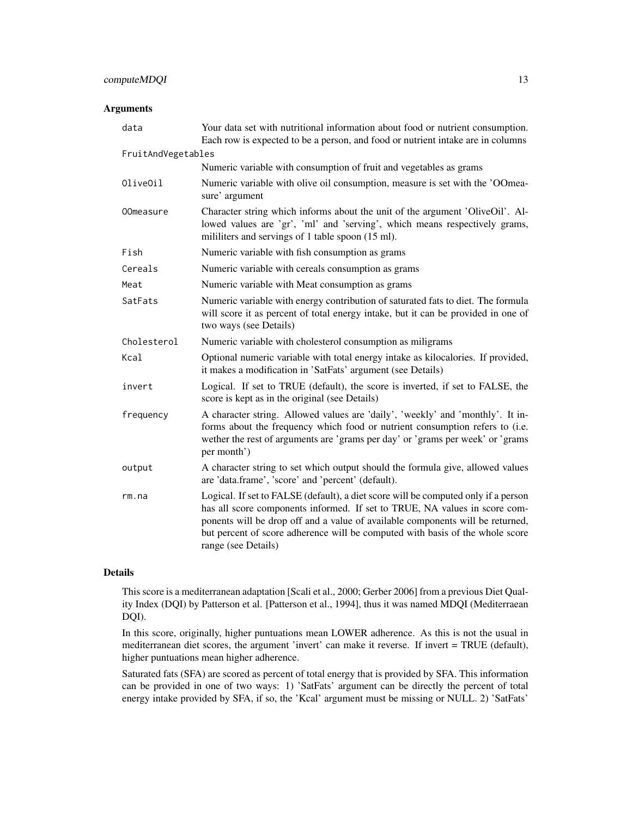## computeMDQI 13

## Arguments

| Your data set with nutritional information about food or nutrient consumption.<br>Each row is expected to be a person, and food or nutrient intake are in columns                                                                                                                                                                                          |
|------------------------------------------------------------------------------------------------------------------------------------------------------------------------------------------------------------------------------------------------------------------------------------------------------------------------------------------------------------|
| FruitAndVegetables                                                                                                                                                                                                                                                                                                                                         |
| Numeric variable with consumption of fruit and vegetables as grams                                                                                                                                                                                                                                                                                         |
| Numeric variable with olive oil consumption, measure is set with the 'OOmea-<br>sure' argument                                                                                                                                                                                                                                                             |
| Character string which informs about the unit of the argument 'OliveOil'. Al-<br>lowed values are 'gr', 'ml' and 'serving', which means respectively grams,<br>mililiters and servings of 1 table spoon (15 ml).                                                                                                                                           |
| Numeric variable with fish consumption as grams                                                                                                                                                                                                                                                                                                            |
| Numeric variable with cereals consumption as grams                                                                                                                                                                                                                                                                                                         |
| Numeric variable with Meat consumption as grams                                                                                                                                                                                                                                                                                                            |
| Numeric variable with energy contribution of saturated fats to diet. The formula<br>will score it as percent of total energy intake, but it can be provided in one of<br>two ways (see Details)                                                                                                                                                            |
| Numeric variable with cholesterol consumption as miligrams                                                                                                                                                                                                                                                                                                 |
| Optional numeric variable with total energy intake as kilocalories. If provided,<br>it makes a modification in 'SatFats' argument (see Details)                                                                                                                                                                                                            |
| Logical. If set to TRUE (default), the score is inverted, if set to FALSE, the<br>score is kept as in the original (see Details)                                                                                                                                                                                                                           |
| A character string. Allowed values are 'daily', 'weekly' and 'monthly'. It in-<br>forms about the frequency which food or nutrient consumption refers to (i.e.<br>wether the rest of arguments are 'grams per day' or 'grams per week' or 'grams<br>per month')                                                                                            |
| A character string to set which output should the formula give, allowed values<br>are 'data.frame', 'score' and 'percent' (default).                                                                                                                                                                                                                       |
| Logical. If set to FALSE (default), a diet score will be computed only if a person<br>has all score components informed. If set to TRUE, NA values in score com-<br>ponents will be drop off and a value of available components will be returned,<br>but percent of score adherence will be computed with basis of the whole score<br>range (see Details) |
|                                                                                                                                                                                                                                                                                                                                                            |

## Details

This score is a mediterranean adaptation [Scali et al., 2000; Gerber 2006] from a previous Diet Quality Index (DQI) by Patterson et al. [Patterson et al., 1994], thus it was named MDQI (Mediterraean DQI).

In this score, originally, higher puntuations mean LOWER adherence. As this is not the usual in mediterranean diet scores, the argument 'invert' can make it reverse. If invert = TRUE (default), higher puntuations mean higher adherence.

Saturated fats (SFA) are scored as percent of total energy that is provided by SFA. This information can be provided in one of two ways: 1) 'SatFats' argument can be directly the percent of total energy intake provided by SFA, if so, the 'Kcal' argument must be missing or NULL. 2) 'SatFats'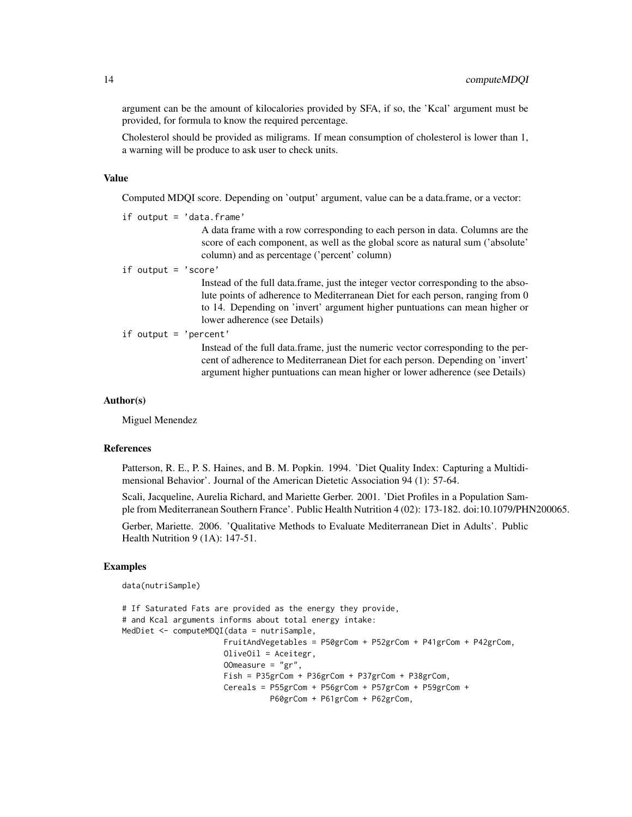argument can be the amount of kilocalories provided by SFA, if so, the 'Kcal' argument must be provided, for formula to know the required percentage.

Cholesterol should be provided as miligrams. If mean consumption of cholesterol is lower than 1, a warning will be produce to ask user to check units.

#### Value

Computed MDQI score. Depending on 'output' argument, value can be a data.frame, or a vector:

if output = 'data.frame'

A data frame with a row corresponding to each person in data. Columns are the score of each component, as well as the global score as natural sum ('absolute' column) and as percentage ('percent' column)

if output = 'score'

Instead of the full data.frame, just the integer vector corresponding to the absolute points of adherence to Mediterranean Diet for each person, ranging from 0 to 14. Depending on 'invert' argument higher puntuations can mean higher or lower adherence (see Details)

if output =  $'$ percent

Instead of the full data.frame, just the numeric vector corresponding to the percent of adherence to Mediterranean Diet for each person. Depending on 'invert' argument higher puntuations can mean higher or lower adherence (see Details)

#### Author(s)

Miguel Menendez

#### References

Patterson, R. E., P. S. Haines, and B. M. Popkin. 1994. 'Diet Quality Index: Capturing a Multidimensional Behavior'. Journal of the American Dietetic Association 94 (1): 57-64.

Scali, Jacqueline, Aurelia Richard, and Mariette Gerber. 2001. 'Diet Profiles in a Population Sample from Mediterranean Southern France'. Public Health Nutrition 4 (02): 173-182. doi:10.1079/PHN200065.

Gerber, Mariette. 2006. 'Qualitative Methods to Evaluate Mediterranean Diet in Adults'. Public Health Nutrition 9 (1A): 147-51.

#### Examples

data(nutriSample)

```
# If Saturated Fats are provided as the energy they provide,
# and Kcal arguments informs about total energy intake:
MedDiet <- computeMDQI(data = nutriSample,
                     FruitAndVegetables = P50grCom + P52grCom + P41grCom + P42grCom,
                     OliveOil = Aceitegr,
                     OOmeasure = "gr",
                     Fish = P35grCom + P36grCom + P37grCom + P38grCom,
                     Cereals = P55grCom + P56grCom + P57grCom + P59grCom +
                                P60grCom + P61grCom + P62grCom,
```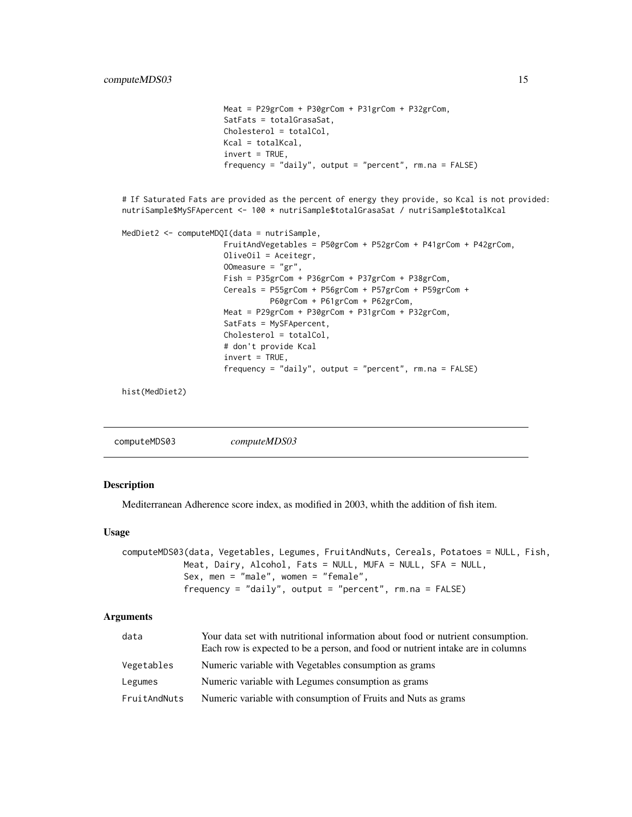```
Meat = P29grCom + P30grCom + P31grCom + P32grCom,
                      SatFats = totalGrasaSat,
                      Cholesterol = totalCol,
                      Kcal = totalKcal,
                      invert = TRUE,
                      frequency = "daily", output = "percent", rm.na = FALSE)
# If Saturated Fats are provided as the percent of energy they provide, so Kcal is not provided:
nutriSample$MySFApercent <- 100 * nutriSample$totalGrasaSat / nutriSample$totalKcal
MedDiet2 <- computeMDQI(data = nutriSample,
                      FruitAndVegetables = P50grCom + P52grCom + P41grCom + P42grCom,
                      OliveOil = Aceitegr,
                      OOmeasure = "gr",
                      Fish = P35grCom + P36grCom + P37grCom + P38grCom,
                      Cereals = P55grCom + P56grCom + P57grCom + P59grCom +
                                P60grCom + P61grCom + P62grCom,
                      Meat = P29grCom + P30grCom + P31grCom + P32grCom,
                      SatFats = MySFApercent,
                      Cholesterol = totalCol,
                      # don't provide Kcal
                      invert = TRUE,frequency = "daily", output = "percent", rm.na = FALSE)
```
hist(MedDiet2)

<span id="page-14-1"></span>

|--|

#### Description

Mediterranean Adherence score index, as modified in 2003, whith the addition of fish item.

#### Usage

```
computeMDS03(data, Vegetables, Legumes, FruitAndNuts, Cereals, Potatoes = NULL, Fish,
            Meat, Dairy, Alcohol, Fats = NULL, MUFA = NULL, SFA = NULL,
            Sex, men = "male", women = "female",
            frequency = "daily", output = "percent", rm.na = FALSE)
```

| data         | Your data set with nutritional information about food or nutrient consumption.<br>Each row is expected to be a person, and food or nutrient intake are in columns |
|--------------|-------------------------------------------------------------------------------------------------------------------------------------------------------------------|
| Vegetables   | Numeric variable with Vegetables consumption as grams                                                                                                             |
| Legumes      | Numeric variable with Legumes consumption as grams                                                                                                                |
| FruitAndNuts | Numeric variable with consumption of Fruits and Nuts as grams                                                                                                     |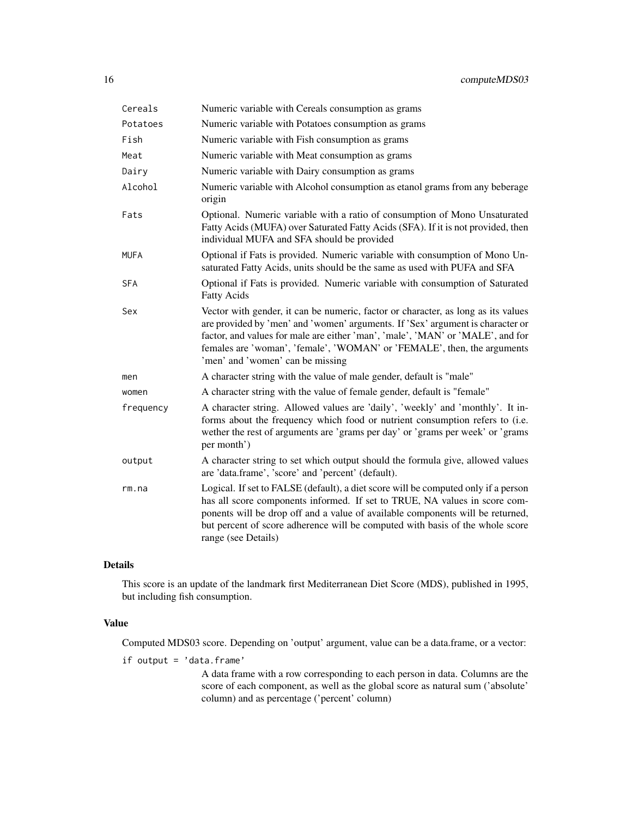| Cereals   | Numeric variable with Cereals consumption as grams                                                                                                                                                                                                                                                                                                                   |
|-----------|----------------------------------------------------------------------------------------------------------------------------------------------------------------------------------------------------------------------------------------------------------------------------------------------------------------------------------------------------------------------|
| Potatoes  | Numeric variable with Potatoes consumption as grams                                                                                                                                                                                                                                                                                                                  |
| Fish      | Numeric variable with Fish consumption as grams                                                                                                                                                                                                                                                                                                                      |
| Meat      | Numeric variable with Meat consumption as grams                                                                                                                                                                                                                                                                                                                      |
| Dairy     | Numeric variable with Dairy consumption as grams                                                                                                                                                                                                                                                                                                                     |
| Alcohol   | Numeric variable with Alcohol consumption as etanol grams from any beberage<br>origin                                                                                                                                                                                                                                                                                |
| Fats      | Optional. Numeric variable with a ratio of consumption of Mono Unsaturated<br>Fatty Acids (MUFA) over Saturated Fatty Acids (SFA). If it is not provided, then<br>individual MUFA and SFA should be provided                                                                                                                                                         |
| MUFA      | Optional if Fats is provided. Numeric variable with consumption of Mono Un-<br>saturated Fatty Acids, units should be the same as used with PUFA and SFA                                                                                                                                                                                                             |
| SFA       | Optional if Fats is provided. Numeric variable with consumption of Saturated<br><b>Fatty Acids</b>                                                                                                                                                                                                                                                                   |
| Sex       | Vector with gender, it can be numeric, factor or character, as long as its values<br>are provided by 'men' and 'women' arguments. If 'Sex' argument is character or<br>factor, and values for male are either 'man', 'male', 'MAN' or 'MALE', and for<br>females are 'woman', 'female', 'WOMAN' or 'FEMALE', then, the arguments<br>'men' and 'women' can be missing |
| men       | A character string with the value of male gender, default is "male"                                                                                                                                                                                                                                                                                                  |
| women     | A character string with the value of female gender, default is "female"                                                                                                                                                                                                                                                                                              |
| frequency | A character string. Allowed values are 'daily', 'weekly' and 'monthly'. It in-<br>forms about the frequency which food or nutrient consumption refers to (i.e.<br>wether the rest of arguments are 'grams per day' or 'grams per week' or 'grams<br>per month')                                                                                                      |
| output    | A character string to set which output should the formula give, allowed values<br>are 'data.frame', 'score' and 'percent' (default).                                                                                                                                                                                                                                 |
| rm.na     | Logical. If set to FALSE (default), a diet score will be computed only if a person<br>has all score components informed. If set to TRUE, NA values in score com-<br>ponents will be drop off and a value of available components will be returned,<br>but percent of score adherence will be computed with basis of the whole score<br>range (see Details)           |

## Details

This score is an update of the landmark first Mediterranean Diet Score (MDS), published in 1995, but including fish consumption.

#### Value

Computed MDS03 score. Depending on 'output' argument, value can be a data.frame, or a vector:

if output = 'data.frame'

A data frame with a row corresponding to each person in data. Columns are the score of each component, as well as the global score as natural sum ('absolute' column) and as percentage ('percent' column)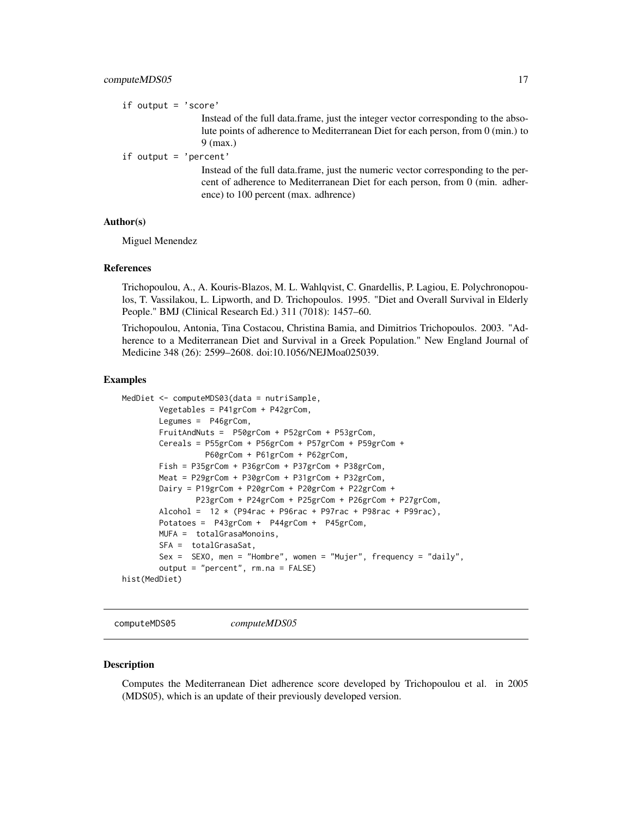#### <span id="page-16-0"></span>computeMDS05 17

if output = 'score'

Instead of the full data.frame, just the integer vector corresponding to the absolute points of adherence to Mediterranean Diet for each person, from 0 (min.) to 9 (max.)

if output = 'percent'

Instead of the full data.frame, just the numeric vector corresponding to the percent of adherence to Mediterranean Diet for each person, from 0 (min. adherence) to 100 percent (max. adhrence)

#### Author(s)

Miguel Menendez

#### References

Trichopoulou, A., A. Kouris-Blazos, M. L. Wahlqvist, C. Gnardellis, P. Lagiou, E. Polychronopoulos, T. Vassilakou, L. Lipworth, and D. Trichopoulos. 1995. "Diet and Overall Survival in Elderly People." BMJ (Clinical Research Ed.) 311 (7018): 1457–60.

Trichopoulou, Antonia, Tina Costacou, Christina Bamia, and Dimitrios Trichopoulos. 2003. "Adherence to a Mediterranean Diet and Survival in a Greek Population." New England Journal of Medicine 348 (26): 2599–2608. doi:10.1056/NEJMoa025039.

#### Examples

```
MedDiet <- computeMDS03(data = nutriSample,
       Vegetables = P41grCom + P42grCom,
       Legumes = P46grCom,
       FruitAndNuts = P50grCom + P52grCom + P53grCom,
       Cereals = P55grCom + P56grCom + P57grCom + P59grCom +
                  P60grCom + P61grCom + P62grCom,
       Fish = P35grCom + P36grCom + P37grCom + P38grCom,
       Meat = P29grCom + P30grCom + P31grCom + P32grCom,
       Dairy = P19grCom + P20grCom + P20grCom + P22grCom +
                P23grCom + P24grCom + P25grCom + P26grCom + P27grCom,
       Alcohol = 12 * (P94rac + P96rac + P97rac + P98rac + P98rac + P99rac),Potatoes = P43grCom + P44grCom + P45grCom,
       MUFA = totalGrasaMonoins,
       SFA = totalGrasaSat,
       Sex = SEXO, men = "Hombre", women = "Mujer", frequency = "daily",
       output = "percent", rm.na = FALSE)
hist(MedDiet)
```
<span id="page-16-1"></span>computeMDS05 *computeMDS05*

#### Description

Computes the Mediterranean Diet adherence score developed by Trichopoulou et al. in 2005 (MDS05), which is an update of their previously developed version.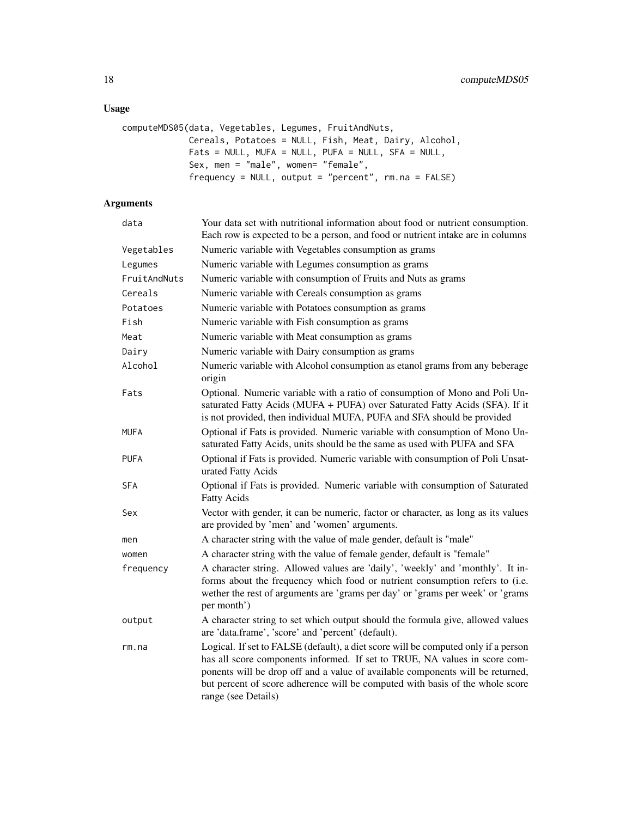## Usage

```
computeMDS05(data, Vegetables, Legumes, FruitAndNuts,
            Cereals, Potatoes = NULL, Fish, Meat, Dairy, Alcohol,
            Fats = NULL, MUFA = NULL, PUFA = NULL, SFA = NULL,
            Sex, men = "male", women= "female",
            frequency = NULL, output = "percent", rm.na = FALSE)
```

| data         | Your data set with nutritional information about food or nutrient consumption.<br>Each row is expected to be a person, and food or nutrient intake are in columns                                                                                                                                                                                          |
|--------------|------------------------------------------------------------------------------------------------------------------------------------------------------------------------------------------------------------------------------------------------------------------------------------------------------------------------------------------------------------|
| Vegetables   | Numeric variable with Vegetables consumption as grams                                                                                                                                                                                                                                                                                                      |
| Legumes      | Numeric variable with Legumes consumption as grams                                                                                                                                                                                                                                                                                                         |
| FruitAndNuts | Numeric variable with consumption of Fruits and Nuts as grams                                                                                                                                                                                                                                                                                              |
| Cereals      | Numeric variable with Cereals consumption as grams                                                                                                                                                                                                                                                                                                         |
| Potatoes     | Numeric variable with Potatoes consumption as grams                                                                                                                                                                                                                                                                                                        |
| Fish         | Numeric variable with Fish consumption as grams                                                                                                                                                                                                                                                                                                            |
| Meat         | Numeric variable with Meat consumption as grams                                                                                                                                                                                                                                                                                                            |
| Dairy        | Numeric variable with Dairy consumption as grams                                                                                                                                                                                                                                                                                                           |
| Alcohol      | Numeric variable with Alcohol consumption as etanol grams from any beberage<br>origin                                                                                                                                                                                                                                                                      |
| Fats         | Optional. Numeric variable with a ratio of consumption of Mono and Poli Un-<br>saturated Fatty Acids (MUFA + PUFA) over Saturated Fatty Acids (SFA). If it<br>is not provided, then individual MUFA, PUFA and SFA should be provided                                                                                                                       |
| <b>MUFA</b>  | Optional if Fats is provided. Numeric variable with consumption of Mono Un-<br>saturated Fatty Acids, units should be the same as used with PUFA and SFA                                                                                                                                                                                                   |
| <b>PUFA</b>  | Optional if Fats is provided. Numeric variable with consumption of Poli Unsat-<br>urated Fatty Acids                                                                                                                                                                                                                                                       |
| <b>SFA</b>   | Optional if Fats is provided. Numeric variable with consumption of Saturated<br><b>Fatty Acids</b>                                                                                                                                                                                                                                                         |
| Sex          | Vector with gender, it can be numeric, factor or character, as long as its values<br>are provided by 'men' and 'women' arguments.                                                                                                                                                                                                                          |
| men          | A character string with the value of male gender, default is "male"                                                                                                                                                                                                                                                                                        |
| women        | A character string with the value of female gender, default is "female"                                                                                                                                                                                                                                                                                    |
| frequency    | A character string. Allowed values are 'daily', 'weekly' and 'monthly'. It in-<br>forms about the frequency which food or nutrient consumption refers to (i.e.<br>wether the rest of arguments are 'grams per day' or 'grams per week' or 'grams<br>per month')                                                                                            |
| output       | A character string to set which output should the formula give, allowed values<br>are 'data.frame', 'score' and 'percent' (default).                                                                                                                                                                                                                       |
| rm.na        | Logical. If set to FALSE (default), a diet score will be computed only if a person<br>has all score components informed. If set to TRUE, NA values in score com-<br>ponents will be drop off and a value of available components will be returned,<br>but percent of score adherence will be computed with basis of the whole score<br>range (see Details) |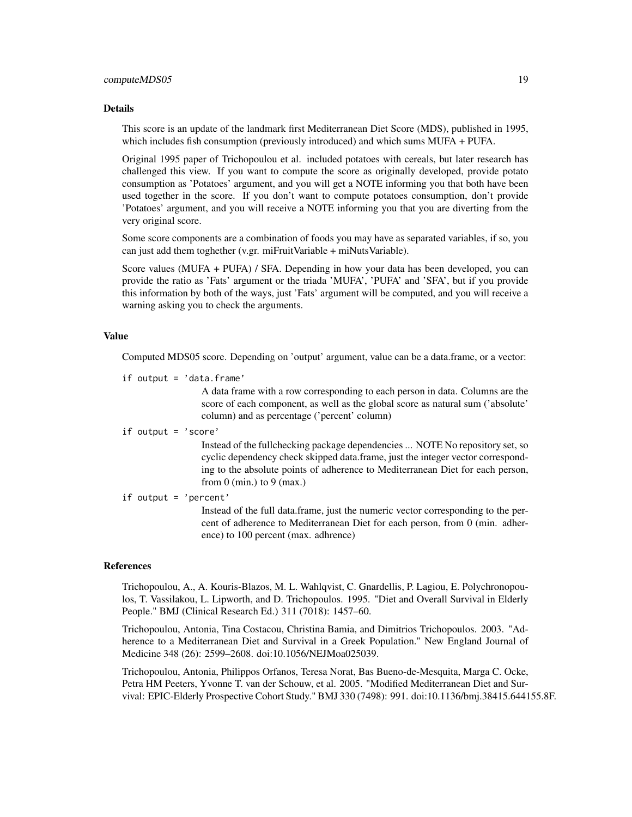#### computeMDS05 19

#### Details

This score is an update of the landmark first Mediterranean Diet Score (MDS), published in 1995, which includes fish consumption (previously introduced) and which sums MUFA + PUFA.

Original 1995 paper of Trichopoulou et al. included potatoes with cereals, but later research has challenged this view. If you want to compute the score as originally developed, provide potato consumption as 'Potatoes' argument, and you will get a NOTE informing you that both have been used together in the score. If you don't want to compute potatoes consumption, don't provide 'Potatoes' argument, and you will receive a NOTE informing you that you are diverting from the very original score.

Some score components are a combination of foods you may have as separated variables, if so, you can just add them toghether (v.gr. miFruitVariable + miNutsVariable).

Score values (MUFA + PUFA) / SFA. Depending in how your data has been developed, you can provide the ratio as 'Fats' argument or the triada 'MUFA', 'PUFA' and 'SFA', but if you provide this information by both of the ways, just 'Fats' argument will be computed, and you will receive a warning asking you to check the arguments.

## Value

Computed MDS05 score. Depending on 'output' argument, value can be a data.frame, or a vector:

if output = 'data.frame'

A data frame with a row corresponding to each person in data. Columns are the score of each component, as well as the global score as natural sum ('absolute' column) and as percentage ('percent' column)

#### if output = 'score'

Instead of the fullchecking package dependencies ... NOTE No repository set, so cyclic dependency check skipped data.frame, just the integer vector corresponding to the absolute points of adherence to Mediterranean Diet for each person, from  $0 \text{ (min.)}$  to  $9 \text{ (max.)}$ 

#### if output = 'percent'

Instead of the full data.frame, just the numeric vector corresponding to the percent of adherence to Mediterranean Diet for each person, from 0 (min. adherence) to 100 percent (max. adhrence)

#### References

Trichopoulou, A., A. Kouris-Blazos, M. L. Wahlqvist, C. Gnardellis, P. Lagiou, E. Polychronopoulos, T. Vassilakou, L. Lipworth, and D. Trichopoulos. 1995. "Diet and Overall Survival in Elderly People." BMJ (Clinical Research Ed.) 311 (7018): 1457–60.

Trichopoulou, Antonia, Tina Costacou, Christina Bamia, and Dimitrios Trichopoulos. 2003. "Adherence to a Mediterranean Diet and Survival in a Greek Population." New England Journal of Medicine 348 (26): 2599–2608. doi:10.1056/NEJMoa025039.

Trichopoulou, Antonia, Philippos Orfanos, Teresa Norat, Bas Bueno-de-Mesquita, Marga C. Ocke, Petra HM Peeters, Yvonne T. van der Schouw, et al. 2005. "Modified Mediterranean Diet and Survival: EPIC-Elderly Prospective Cohort Study." BMJ 330 (7498): 991. doi:10.1136/bmj.38415.644155.8F.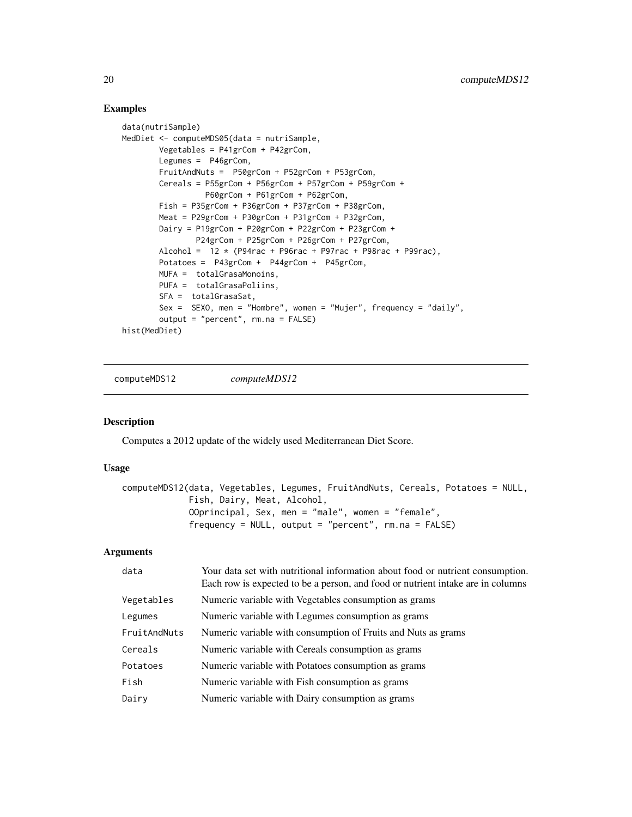#### Examples

```
data(nutriSample)
MedDiet <- computeMDS05(data = nutriSample,
       Vegetables = P41grCom + P42grCom,
       Legumes = P46grCom,
        FruitAndNuts = P50grCom + P52grCom + P53grCom,
        Cereals = P55grCom + P56grCom + P57grCom + P59grCom +
                  P60grCom + P61grCom + P62grCom,
       Fish = P35grCom + P36grCom + P37grCom + P38grCom,
       Meat = P29grCom + P30grCom + P31grCom + P32grCom,
        Dairy = P19grCom + P20grCom + P22grCom + P23grCom +
                P24grCom + P25grCom + P26grCom + P27grCom,
        Alcohol = 12 * (P94rac + P96rac + P97rac + P98rac + P98rac + P99rac),Potatoes = P43grCom + P44grCom + P45grCom,
       MUFA = totalGrasaMonoins,
       PUFA = totalGrasaPoliins,
        SFA = totalGrasaSat,
        Sex = SEX0, men = "Hombre", women = "Mujer", frequency = "daily",
       output = "percent", rm.na = FALSE)
hist(MedDiet)
```
computeMDS12 *computeMDS12*

#### Description

Computes a 2012 update of the widely used Mediterranean Diet Score.

#### Usage

```
computeMDS12(data, Vegetables, Legumes, FruitAndNuts, Cereals, Potatoes = NULL,
            Fish, Dairy, Meat, Alcohol,
            OOprincipal, Sex, men = "male", women = "female",
             frequency = NULL, output = "percent", rm.na = FALSE)
```

| data         | Your data set with nutritional information about food or nutrient consumption.<br>Each row is expected to be a person, and food or nutrient intake are in columns |
|--------------|-------------------------------------------------------------------------------------------------------------------------------------------------------------------|
| Vegetables   | Numeric variable with Vegetables consumption as grams                                                                                                             |
| Legumes      | Numeric variable with Legumes consumption as grams                                                                                                                |
| FruitAndNuts | Numeric variable with consumption of Fruits and Nuts as grams                                                                                                     |
| Cereals      | Numeric variable with Cereals consumption as grams                                                                                                                |
| Potatoes     | Numeric variable with Potatoes consumption as grams                                                                                                               |
| Fish         | Numeric variable with Fish consumption as grams                                                                                                                   |
| Dairy        | Numeric variable with Dairy consumption as grams                                                                                                                  |
|              |                                                                                                                                                                   |

<span id="page-19-0"></span>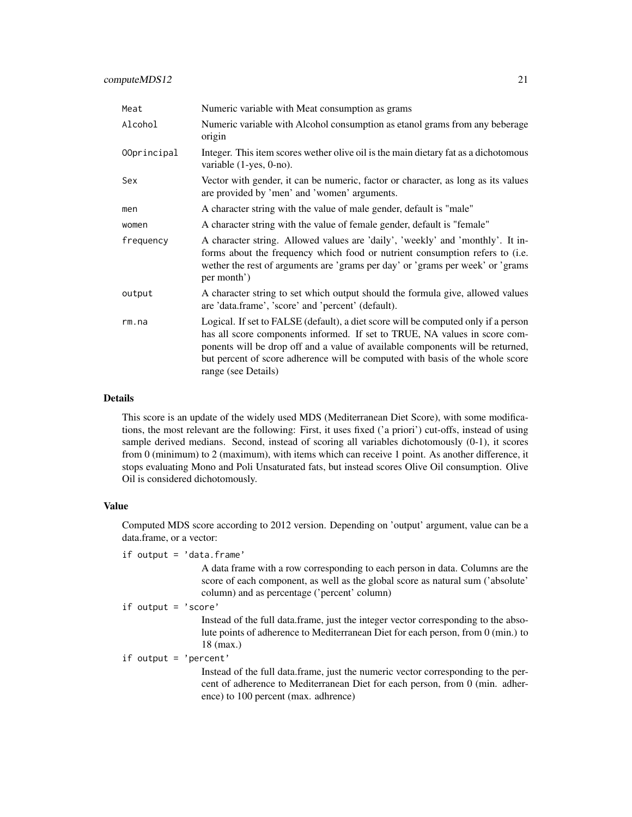| Meat        | Numeric variable with Meat consumption as grams                                                                                                                                                                                                                                                                                                            |
|-------------|------------------------------------------------------------------------------------------------------------------------------------------------------------------------------------------------------------------------------------------------------------------------------------------------------------------------------------------------------------|
| Alcohol     | Numeric variable with Alcohol consumption as etanol grams from any beberage<br>origin                                                                                                                                                                                                                                                                      |
| 00principal | Integer. This item scores wether olive oil is the main dietary fat as a dichotomous<br>variable $(1$ -yes, $0$ -no).                                                                                                                                                                                                                                       |
| Sex         | Vector with gender, it can be numeric, factor or character, as long as its values<br>are provided by 'men' and 'women' arguments.                                                                                                                                                                                                                          |
| men         | A character string with the value of male gender, default is "male"                                                                                                                                                                                                                                                                                        |
| women       | A character string with the value of female gender, default is "female"                                                                                                                                                                                                                                                                                    |
| frequency   | A character string. Allowed values are 'daily', 'weekly' and 'monthly'. It in-<br>forms about the frequency which food or nutrient consumption refers to (i.e.<br>wether the rest of arguments are 'grams per day' or 'grams per week' or 'grams<br>per month')                                                                                            |
| output      | A character string to set which output should the formula give, allowed values<br>are 'data.frame', 'score' and 'percent' (default).                                                                                                                                                                                                                       |
| rm. na      | Logical. If set to FALSE (default), a diet score will be computed only if a person<br>has all score components informed. If set to TRUE, NA values in score com-<br>ponents will be drop off and a value of available components will be returned,<br>but percent of score adherence will be computed with basis of the whole score<br>range (see Details) |

#### Details

This score is an update of the widely used MDS (Mediterranean Diet Score), with some modifications, the most relevant are the following: First, it uses fixed ('a priori') cut-offs, instead of using sample derived medians. Second, instead of scoring all variables dichotomously  $(0-1)$ , it scores from 0 (minimum) to 2 (maximum), with items which can receive 1 point. As another difference, it stops evaluating Mono and Poli Unsaturated fats, but instead scores Olive Oil consumption. Olive Oil is considered dichotomously.

#### Value

Computed MDS score according to 2012 version. Depending on 'output' argument, value can be a data.frame, or a vector:

if output = 'data.frame'

A data frame with a row corresponding to each person in data. Columns are the score of each component, as well as the global score as natural sum ('absolute' column) and as percentage ('percent' column)

```
if output = 'score'
```
Instead of the full data.frame, just the integer vector corresponding to the absolute points of adherence to Mediterranean Diet for each person, from 0 (min.) to 18 (max.)

if output = 'percent'

Instead of the full data.frame, just the numeric vector corresponding to the percent of adherence to Mediterranean Diet for each person, from 0 (min. adherence) to 100 percent (max. adhrence)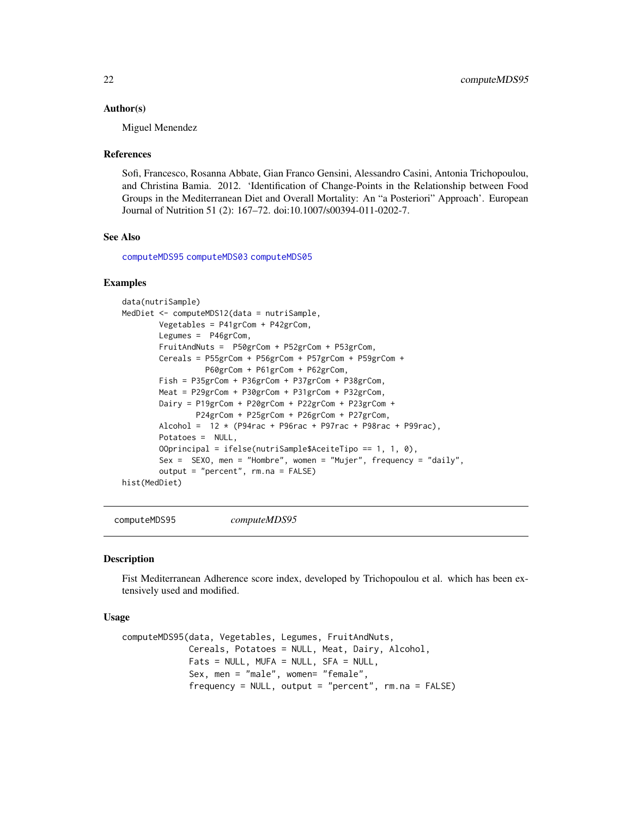#### <span id="page-21-0"></span>Author(s)

Miguel Menendez

#### References

Sofi, Francesco, Rosanna Abbate, Gian Franco Gensini, Alessandro Casini, Antonia Trichopoulou, and Christina Bamia. 2012. 'Identification of Change-Points in the Relationship between Food Groups in the Mediterranean Diet and Overall Mortality: An "a Posteriori" Approach'. European Journal of Nutrition 51 (2): 167–72. doi:10.1007/s00394-011-0202-7.

#### See Also

[computeMDS95](#page-21-1) [computeMDS03](#page-14-1) [computeMDS05](#page-16-1)

#### Examples

```
data(nutriSample)
MedDiet <- computeMDS12(data = nutriSample,
        Vegetables = P41grCom + P42grCom,
        Legumes = P46grCom,
        FruitAndNuts = P50grCom + P52grCom + P53grCom,
        Cereals = P55grCom + P56grCom + P57grCom + P59grCom +
                  P60grCom + P61grCom + P62grCom,
        Fish = P35grCom + P36grCom + P37grCom + P38grCom,
        Meat = P29grCom + P30grCom + P31grCom + P32grCom,
        Dairy = P19grCom + P20grCom + P22grCom + P23grCom +
                P24grCom + P25grCom + P26grCom + P27grCom,
        Alcohol = 12 * (P94rac + P96rac + P97rac + P98rac + P98rac + P99rac)Potatoes = NULL,
        OOprincipal = ifelse(nutriSample$AceiteTipo == 1, 1, 0),
        Sex = SEXO, men = "Hombre", women = "Mujer", frequency = "daily",
        output = "percent", rm.na = FALSE)
hist(MedDiet)
```
<span id="page-21-1"></span>computeMDS95 *computeMDS95*

#### **Description**

Fist Mediterranean Adherence score index, developed by Trichopoulou et al. which has been extensively used and modified.

#### Usage

```
computeMDS95(data, Vegetables, Legumes, FruitAndNuts,
            Cereals, Potatoes = NULL, Meat, Dairy, Alcohol,
             Fats = NULL, MUFA = NULL, SFA = NULL,Sex, men = "male", women= "female",
             frequency = NULL, output = "percent", rm.na = FALSE)
```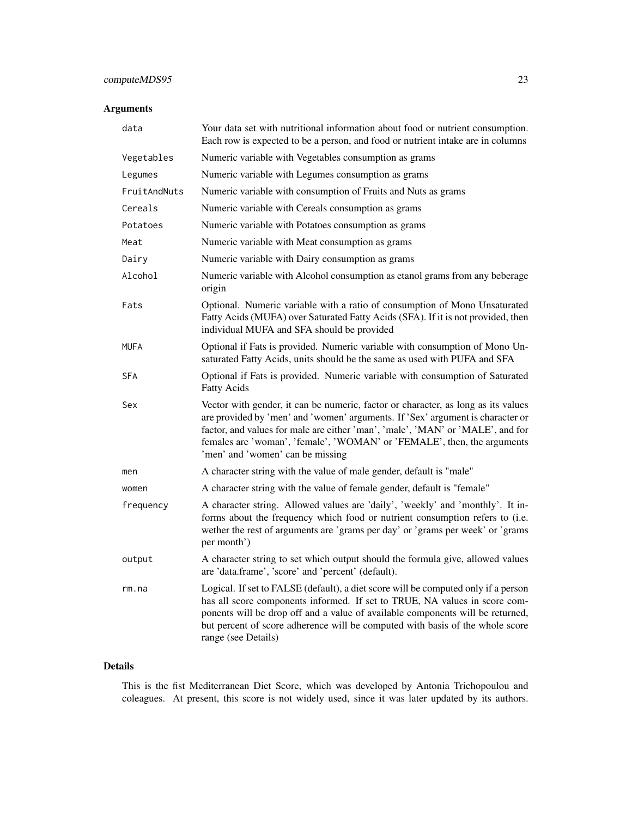## computeMDS95 23

## Arguments

| data         | Your data set with nutritional information about food or nutrient consumption.<br>Each row is expected to be a person, and food or nutrient intake are in columns                                                                                                                                                                                                    |
|--------------|----------------------------------------------------------------------------------------------------------------------------------------------------------------------------------------------------------------------------------------------------------------------------------------------------------------------------------------------------------------------|
| Vegetables   | Numeric variable with Vegetables consumption as grams                                                                                                                                                                                                                                                                                                                |
| Legumes      | Numeric variable with Legumes consumption as grams                                                                                                                                                                                                                                                                                                                   |
| FruitAndNuts | Numeric variable with consumption of Fruits and Nuts as grams                                                                                                                                                                                                                                                                                                        |
| Cereals      | Numeric variable with Cereals consumption as grams                                                                                                                                                                                                                                                                                                                   |
| Potatoes     | Numeric variable with Potatoes consumption as grams                                                                                                                                                                                                                                                                                                                  |
| Meat         | Numeric variable with Meat consumption as grams                                                                                                                                                                                                                                                                                                                      |
| Dairy        | Numeric variable with Dairy consumption as grams                                                                                                                                                                                                                                                                                                                     |
| Alcohol      | Numeric variable with Alcohol consumption as etanol grams from any beberage<br>origin                                                                                                                                                                                                                                                                                |
| Fats         | Optional. Numeric variable with a ratio of consumption of Mono Unsaturated<br>Fatty Acids (MUFA) over Saturated Fatty Acids (SFA). If it is not provided, then<br>individual MUFA and SFA should be provided                                                                                                                                                         |
| <b>MUFA</b>  | Optional if Fats is provided. Numeric variable with consumption of Mono Un-<br>saturated Fatty Acids, units should be the same as used with PUFA and SFA                                                                                                                                                                                                             |
| <b>SFA</b>   | Optional if Fats is provided. Numeric variable with consumption of Saturated<br><b>Fatty Acids</b>                                                                                                                                                                                                                                                                   |
| Sex          | Vector with gender, it can be numeric, factor or character, as long as its values<br>are provided by 'men' and 'women' arguments. If 'Sex' argument is character or<br>factor, and values for male are either 'man', 'male', 'MAN' or 'MALE', and for<br>females are 'woman', 'female', 'WOMAN' or 'FEMALE', then, the arguments<br>'men' and 'women' can be missing |
| men          | A character string with the value of male gender, default is "male"                                                                                                                                                                                                                                                                                                  |
| women        | A character string with the value of female gender, default is "female"                                                                                                                                                                                                                                                                                              |
| frequency    | A character string. Allowed values are 'daily', 'weekly' and 'monthly'. It in-<br>forms about the frequency which food or nutrient consumption refers to (i.e.<br>wether the rest of arguments are 'grams per day' or 'grams per week' or 'grams<br>per month')                                                                                                      |
| output       | A character string to set which output should the formula give, allowed values<br>are 'data.frame', 'score' and 'percent' (default).                                                                                                                                                                                                                                 |
| rm.na        | Logical. If set to FALSE (default), a diet score will be computed only if a person<br>has all score components informed. If set to TRUE, NA values in score com-<br>ponents will be drop off and a value of available components will be returned,<br>but percent of score adherence will be computed with basis of the whole score<br>range (see Details)           |

## Details

This is the fist Mediterranean Diet Score, which was developed by Antonia Trichopoulou and coleagues. At present, this score is not widely used, since it was later updated by its authors.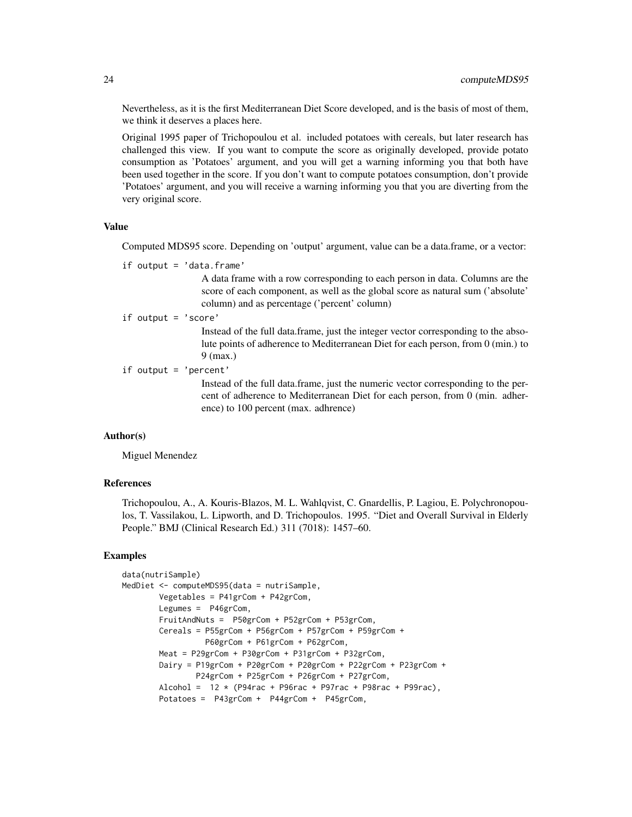Nevertheless, as it is the first Mediterranean Diet Score developed, and is the basis of most of them, we think it deserves a places here.

Original 1995 paper of Trichopoulou et al. included potatoes with cereals, but later research has challenged this view. If you want to compute the score as originally developed, provide potato consumption as 'Potatoes' argument, and you will get a warning informing you that both have been used together in the score. If you don't want to compute potatoes consumption, don't provide 'Potatoes' argument, and you will receive a warning informing you that you are diverting from the very original score.

## Value

Computed MDS95 score. Depending on 'output' argument, value can be a data.frame, or a vector:

if output = 'data.frame'

A data frame with a row corresponding to each person in data. Columns are the score of each component, as well as the global score as natural sum ('absolute' column) and as percentage ('percent' column)

if output = 'score'

Instead of the full data.frame, just the integer vector corresponding to the absolute points of adherence to Mediterranean Diet for each person, from 0 (min.) to 9 (max.)

```
if output = 'percent'
```
Instead of the full data.frame, just the numeric vector corresponding to the percent of adherence to Mediterranean Diet for each person, from 0 (min. adherence) to 100 percent (max. adhrence)

#### Author(s)

Miguel Menendez

## References

Trichopoulou, A., A. Kouris-Blazos, M. L. Wahlqvist, C. Gnardellis, P. Lagiou, E. Polychronopoulos, T. Vassilakou, L. Lipworth, and D. Trichopoulos. 1995. "Diet and Overall Survival in Elderly People." BMJ (Clinical Research Ed.) 311 (7018): 1457–60.

#### Examples

```
data(nutriSample)
MedDiet <- computeMDS95(data = nutriSample,
       Vegetables = P41grCom + P42grCom,
       Legumes = P46grCom,
       FruitAndNuts = P50grCom + P52grCom + P53grCom,
       Cereals = P55grCom + P56grCom + P57grCom + P59grCom +
                  P60grCom + P61grCom + P62grCom,
       Meat = P29grCom + P30grCom + P31grCom + P32grCom,
       Dairy = P19grCom + P20grCom + P20grCom + P22grCom + P23grCom +
                P24grCom + P25grCom + P26grCom + P27grCom,
       Alcohol = 12 * (P94rac + P96rac + P97rac + P98rac + P98rac + P99rac)Potatoes = P43grCom + P44grCom + P45grCom,
```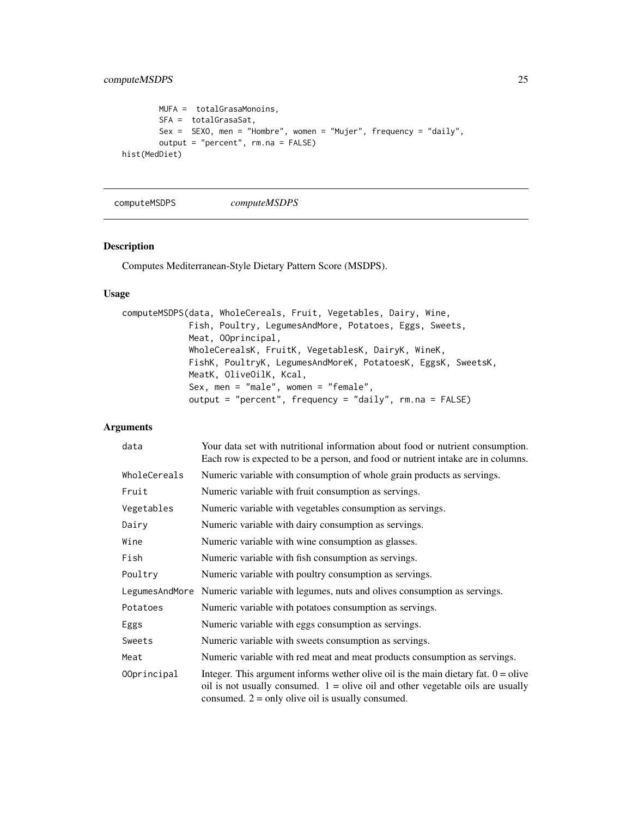```
MUFA = totalGrasaMonoins,
       SFA = totalGrasaSat,
       Sex = SEXO, men = "Hombre", women = "Mujer", frequency = "daily",
       output = "percent", rm.na = FALSE)
hist(MedDiet)
```
computeMSDPS *computeMSDPS*

#### Description

Computes Mediterranean-Style Dietary Pattern Score (MSDPS).

## Usage

```
computeMSDPS(data, WholeCereals, Fruit, Vegetables, Dairy, Wine,
             Fish, Poultry, LegumesAndMore, Potatoes, Eggs, Sweets,
            Meat, OOprincipal,
             WholeCerealsK, FruitK, VegetablesK, DairyK, WineK,
             FishK, PoultryK, LegumesAndMoreK, PotatoesK, EggsK, SweetsK,
             MeatK, OliveOilK, Kcal,
             Sex, men = "male", women = "female",
             output = "percent", frequency = "daily", rm.na = FALSE)
```

| data         | Your data set with nutritional information about food or nutrient consumption.<br>Each row is expected to be a person, and food or nutrient intake are in columns.                                                               |
|--------------|----------------------------------------------------------------------------------------------------------------------------------------------------------------------------------------------------------------------------------|
| WholeCereals | Numeric variable with consumption of whole grain products as servings.                                                                                                                                                           |
| Fruit        | Numeric variable with fruit consumption as servings.                                                                                                                                                                             |
| Vegetables   | Numeric variable with vegetables consumption as servings.                                                                                                                                                                        |
| Dairy        | Numeric variable with dairy consumption as servings.                                                                                                                                                                             |
| Wine         | Numeric variable with wine consumption as glasses.                                                                                                                                                                               |
| Fish         | Numeric variable with fish consumption as servings.                                                                                                                                                                              |
| Poultry      | Numeric variable with poultry consumption as servings.                                                                                                                                                                           |
|              | LegumesAndMore Numeric variable with legumes, nuts and olives consumption as servings.                                                                                                                                           |
| Potatoes     | Numeric variable with potatoes consumption as servings.                                                                                                                                                                          |
| Eggs         | Numeric variable with eggs consumption as servings.                                                                                                                                                                              |
| Sweets       | Numeric variable with sweets consumption as servings.                                                                                                                                                                            |
| Meat         | Numeric variable with red meat and meat products consumption as servings.                                                                                                                                                        |
| 00principal  | Integer. This argument informs wether olive oil is the main dietary fat. $0 =$ olive<br>oil is not usually consumed. $1 =$ olive oil and other vegetable oils are usually<br>consumed. $2 =$ only olive oil is usually consumed. |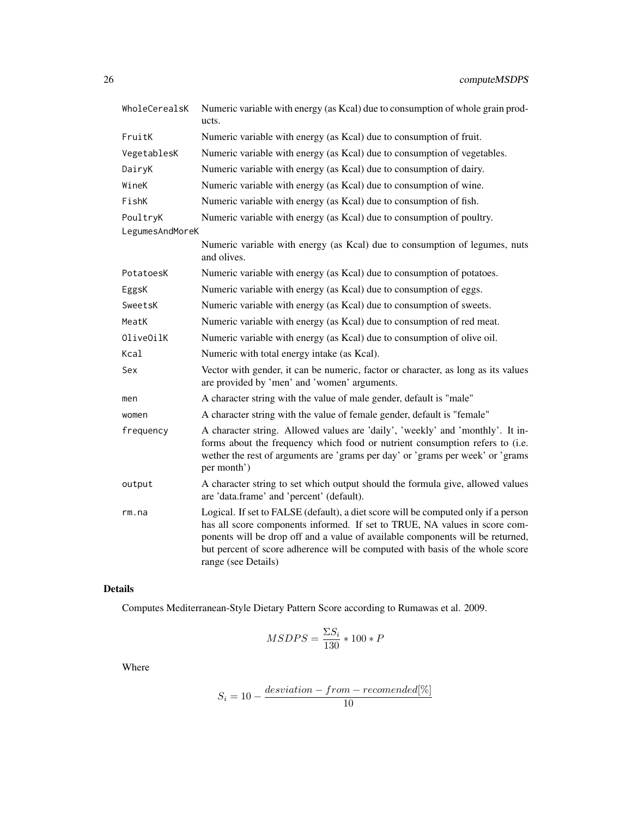| WholeCerealsK   | Numeric variable with energy (as Kcal) due to consumption of whole grain prod-<br>ucts.                                                                                                                                                                                                                                                                    |
|-----------------|------------------------------------------------------------------------------------------------------------------------------------------------------------------------------------------------------------------------------------------------------------------------------------------------------------------------------------------------------------|
| FruitK          | Numeric variable with energy (as Kcal) due to consumption of fruit.                                                                                                                                                                                                                                                                                        |
| VegetablesK     | Numeric variable with energy (as Kcal) due to consumption of vegetables.                                                                                                                                                                                                                                                                                   |
| DairyK          | Numeric variable with energy (as Kcal) due to consumption of dairy.                                                                                                                                                                                                                                                                                        |
| WineK           | Numeric variable with energy (as Kcal) due to consumption of wine.                                                                                                                                                                                                                                                                                         |
| FishK           | Numeric variable with energy (as Kcal) due to consumption of fish.                                                                                                                                                                                                                                                                                         |
| PoultryK        | Numeric variable with energy (as Kcal) due to consumption of poultry.                                                                                                                                                                                                                                                                                      |
| LegumesAndMoreK |                                                                                                                                                                                                                                                                                                                                                            |
|                 | Numeric variable with energy (as Kcal) due to consumption of legumes, nuts<br>and olives.                                                                                                                                                                                                                                                                  |
| PotatoesK       | Numeric variable with energy (as Kcal) due to consumption of potatoes.                                                                                                                                                                                                                                                                                     |
| EggsK           | Numeric variable with energy (as Kcal) due to consumption of eggs.                                                                                                                                                                                                                                                                                         |
| SweetsK         | Numeric variable with energy (as Kcal) due to consumption of sweets.                                                                                                                                                                                                                                                                                       |
| MeatK           | Numeric variable with energy (as Kcal) due to consumption of red meat.                                                                                                                                                                                                                                                                                     |
| OliveOilK       | Numeric variable with energy (as Kcal) due to consumption of olive oil.                                                                                                                                                                                                                                                                                    |
| Kcal            | Numeric with total energy intake (as Kcal).                                                                                                                                                                                                                                                                                                                |
| Sex             | Vector with gender, it can be numeric, factor or character, as long as its values<br>are provided by 'men' and 'women' arguments.                                                                                                                                                                                                                          |
| men             | A character string with the value of male gender, default is "male"                                                                                                                                                                                                                                                                                        |
| women           | A character string with the value of female gender, default is "female"                                                                                                                                                                                                                                                                                    |
| frequency       | A character string. Allowed values are 'daily', 'weekly' and 'monthly'. It in-<br>forms about the frequency which food or nutrient consumption refers to (i.e.<br>wether the rest of arguments are 'grams per day' or 'grams per week' or 'grams<br>per month')                                                                                            |
| output          | A character string to set which output should the formula give, allowed values<br>are 'data.frame' and 'percent' (default).                                                                                                                                                                                                                                |
| rm.na           | Logical. If set to FALSE (default), a diet score will be computed only if a person<br>has all score components informed. If set to TRUE, NA values in score com-<br>ponents will be drop off and a value of available components will be returned,<br>but percent of score adherence will be computed with basis of the whole score<br>range (see Details) |

## Details

Computes Mediterranean-Style Dietary Pattern Score according to Rumawas et al. 2009.

$$
MSDPS = \frac{\Sigma S_i}{130} * 100 * P
$$

Where

$$
S_i = 10 - \frac{deviation - from - recommended[\%]}{10}
$$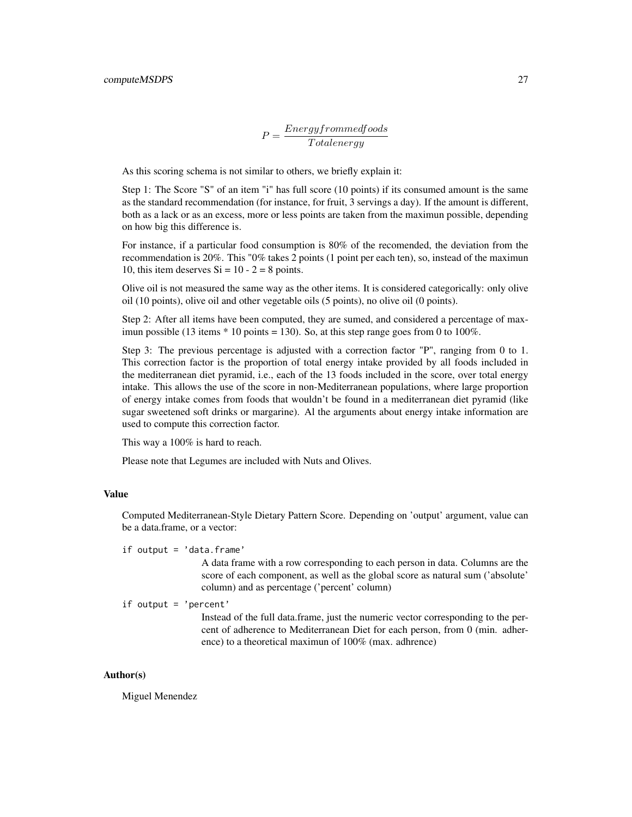$$
P = \frac{Energy from med foods}{Total energy}
$$

As this scoring schema is not similar to others, we briefly explain it:

Step 1: The Score "S" of an item "i" has full score (10 points) if its consumed amount is the same as the standard recommendation (for instance, for fruit, 3 servings a day). If the amount is different, both as a lack or as an excess, more or less points are taken from the maximun possible, depending on how big this difference is.

For instance, if a particular food consumption is 80% of the recomended, the deviation from the recommendation is 20%. This "0% takes 2 points (1 point per each ten), so, instead of the maximun 10, this item deserves  $Si = 10 - 2 = 8$  points.

Olive oil is not measured the same way as the other items. It is considered categorically: only olive oil (10 points), olive oil and other vegetable oils (5 points), no olive oil (0 points).

Step 2: After all items have been computed, they are sumed, and considered a percentage of maximun possible (13 items  $*$  10 points = 130). So, at this step range goes from 0 to 100%.

Step 3: The previous percentage is adjusted with a correction factor "P", ranging from 0 to 1. This correction factor is the proportion of total energy intake provided by all foods included in the mediterranean diet pyramid, i.e., each of the 13 foods included in the score, over total energy intake. This allows the use of the score in non-Mediterranean populations, where large proportion of energy intake comes from foods that wouldn't be found in a mediterranean diet pyramid (like sugar sweetened soft drinks or margarine). Al the arguments about energy intake information are used to compute this correction factor.

This way a 100% is hard to reach.

Please note that Legumes are included with Nuts and Olives.

## Value

Computed Mediterranean-Style Dietary Pattern Score. Depending on 'output' argument, value can be a data.frame, or a vector:

if output = 'data.frame'

A data frame with a row corresponding to each person in data. Columns are the score of each component, as well as the global score as natural sum ('absolute' column) and as percentage ('percent' column)

if output = 'percent'

Instead of the full data.frame, just the numeric vector corresponding to the percent of adherence to Mediterranean Diet for each person, from 0 (min. adherence) to a theoretical maximun of 100% (max. adhrence)

#### Author(s)

Miguel Menendez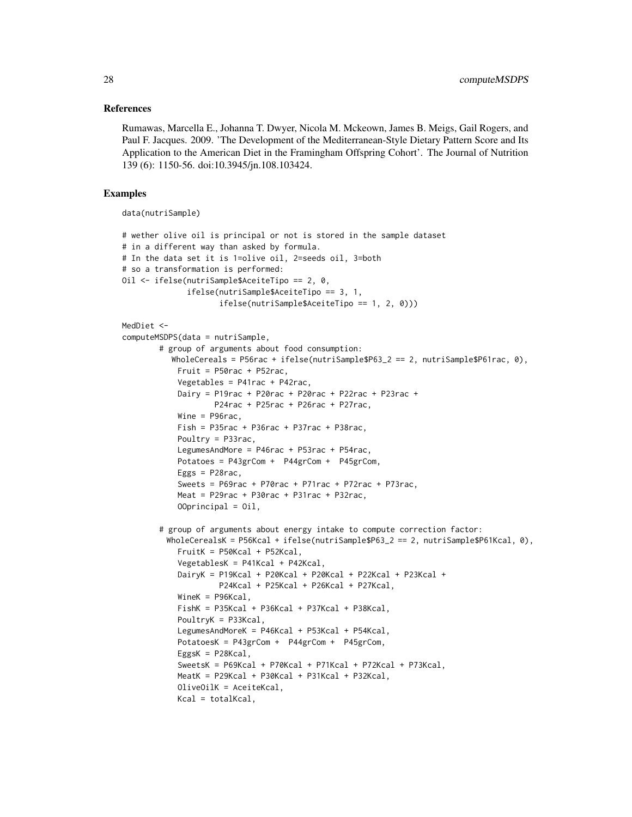#### References

Rumawas, Marcella E., Johanna T. Dwyer, Nicola M. Mckeown, James B. Meigs, Gail Rogers, and Paul F. Jacques. 2009. 'The Development of the Mediterranean-Style Dietary Pattern Score and Its Application to the American Diet in the Framingham Offspring Cohort'. The Journal of Nutrition 139 (6): 1150-56. doi:10.3945/jn.108.103424.

#### Examples

data(nutriSample)

```
# wether olive oil is principal or not is stored in the sample dataset
# in a different way than asked by formula.
# In the data set it is 1=olive oil, 2=seeds oil, 3=both
# so a transformation is performed:
Oil <- ifelse(nutriSample$AceiteTipo == 2, 0,
              ifelse(nutriSample$AceiteTipo == 3, 1,
                     ifelse(nutriSample$AceiteTipo == 1, 2, 0)))
MedDiet <-
computeMSDPS(data = nutriSample,
        # group of arguments about food consumption:
           WholeCereals = P56rac + ifelse(nutriSample$P63_2 == 2, nutriSample$P61rac, 0),
            Fruit = P50rac + P52racVegetables = P41rac + P42rac,
            Dairy = P19rac + P20rac + P20rac + P22rac + P23rac +
                    P24rac + P25rac + P26rac + P27rac,
            Wine = P96rac,
            Fish = P35rac + P36rac + P37rac + P38racPoultry = P33rac,
            LegumesAndMore = P46rac + P53rac + P54rac,
            Potatoes = P43grCom + P44grCom + P45grCom,
            Eggs = P28rac,
            Sweets = P69rac + P70rac + P71rac + P72rac + P73rac,
            Meat = P29rac + P30rac + P31rac + P32rac,
            OOprincipal = Oil,# group of arguments about energy intake to compute correction factor:
         WholeCerealsK = P56Kcal + ifelse(nutriSample$P63_2 == 2, nutriSample$P61Kcal, 0),
            FruitK = P50Kcal + P52Kcal,
            VegetablesK = P41Kcal + P42Kcal,
            DairyK = P19Kcal + P20Kcal + P20Kcal + P22Kcal + P23Kcal +
                    P24Kcal + P25Kcal + P26Kcal + P27Kcal,
            WineK = P96Kcal,
            FishK = P35Kcal + P36Kcal + P37Kcal + P38Kcal,
            PoultryK = P33Kcal,
            LegumesAndMoreK = P46Kcal + P53Kcal + P54Kcal,
            PotatoesK = P43grCom + P44grCom + P45grCom,
            EggsK = P28Kcal,
            SweetsK = P69Kcal + P70Kcal + P71Kcal + P72Kcal + P73Kcal,
            MeatK = P29Kcal + P30Kcal + P31Kcal + P32Kcal,
            OliveOilK = AceiteKcal,
            Kcal = totalKcal,
```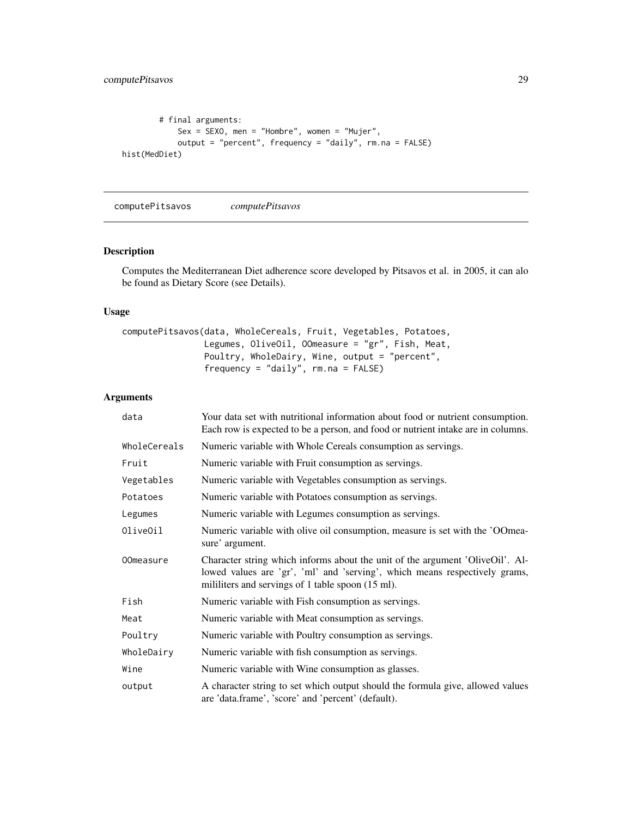```
# final arguments:
            Sex = SEXO, men = "Hombre", women = "Mujer",
            output = "percent", frequency = "daily", rm.na = FALSE)
hist(MedDiet)
```
computePitsavos *computePitsavos*

## Description

Computes the Mediterranean Diet adherence score developed by Pitsavos et al. in 2005, it can alo be found as Dietary Score (see Details).

## Usage

```
computePitsavos(data, WholeCereals, Fruit, Vegetables, Potatoes,
                Legumes, OliveOil, OOmeasure = "gr", Fish, Meat,
                Poultry, WholeDairy, Wine, output = "percent",
                frequency = "daily", rm.na = FALSE)
```

| data         | Your data set with nutritional information about food or nutrient consumption.<br>Each row is expected to be a person, and food or nutrient intake are in columns.                                               |
|--------------|------------------------------------------------------------------------------------------------------------------------------------------------------------------------------------------------------------------|
| WholeCereals | Numeric variable with Whole Cereals consumption as servings.                                                                                                                                                     |
| Fruit        | Numeric variable with Fruit consumption as servings.                                                                                                                                                             |
| Vegetables   | Numeric variable with Vegetables consumption as servings.                                                                                                                                                        |
| Potatoes     | Numeric variable with Potatoes consumption as servings.                                                                                                                                                          |
| Legumes      | Numeric variable with Legumes consumption as servings.                                                                                                                                                           |
| OliveOil     | Numeric variable with olive oil consumption, measure is set with the 'OOmea-<br>sure' argument.                                                                                                                  |
| 00measure    | Character string which informs about the unit of the argument 'OliveOil'. Al-<br>lowed values are 'gr', 'ml' and 'serving', which means respectively grams,<br>mililiters and servings of 1 table spoon (15 ml). |
| Fish         | Numeric variable with Fish consumption as servings.                                                                                                                                                              |
| Meat         | Numeric variable with Meat consumption as servings.                                                                                                                                                              |
| Poultry      | Numeric variable with Poultry consumption as servings.                                                                                                                                                           |
| WholeDairy   | Numeric variable with fish consumption as servings.                                                                                                                                                              |
| Wine         | Numeric variable with Wine consumption as glasses.                                                                                                                                                               |
| output       | A character string to set which output should the formula give, allowed values<br>are 'data.frame', 'score' and 'percent' (default).                                                                             |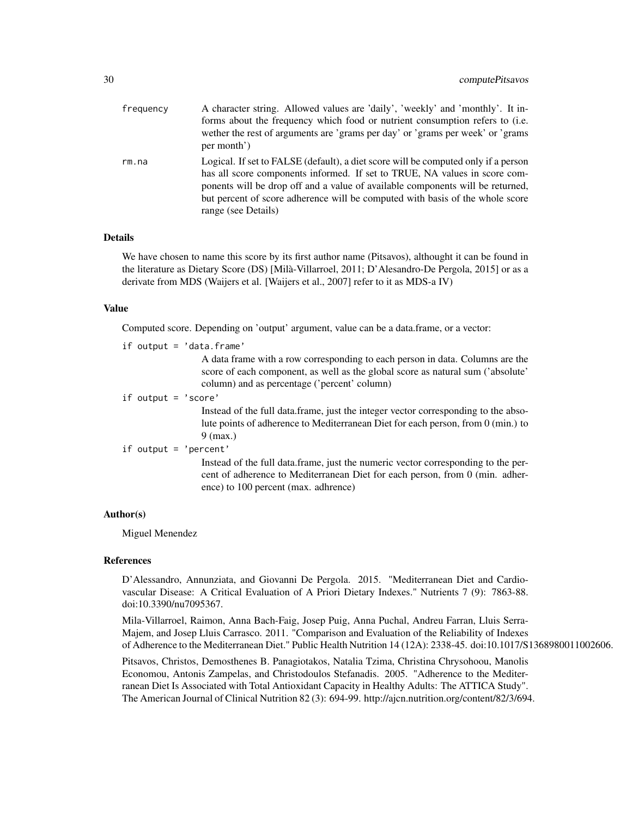| frequency | A character string. Allowed values are 'daily', 'weekly' and 'monthly'. It in-<br>forms about the frequency which food or nutrient consumption refers to (i.e.<br>wether the rest of arguments are 'grams per day' or 'grams per week' or 'grams<br>per month')                                                                                            |
|-----------|------------------------------------------------------------------------------------------------------------------------------------------------------------------------------------------------------------------------------------------------------------------------------------------------------------------------------------------------------------|
| rm.na     | Logical. If set to FALSE (default), a diet score will be computed only if a person<br>has all score components informed. If set to TRUE, NA values in score com-<br>ponents will be drop off and a value of available components will be returned,<br>but percent of score adherence will be computed with basis of the whole score<br>range (see Details) |

#### Details

We have chosen to name this score by its first author name (Pitsavos), althought it can be found in the literature as Dietary Score (DS) [Milà-Villarroel, 2011; D'Alesandro-De Pergola, 2015] or as a derivate from MDS (Waijers et al. [Waijers et al., 2007] refer to it as MDS-a IV)

#### Value

Computed score. Depending on 'output' argument, value can be a data.frame, or a vector:

if output = 'data.frame'

A data frame with a row corresponding to each person in data. Columns are the score of each component, as well as the global score as natural sum ('absolute' column) and as percentage ('percent' column)

```
if output = 'score'
```
Instead of the full data.frame, just the integer vector corresponding to the absolute points of adherence to Mediterranean Diet for each person, from 0 (min.) to 9 (max.)

```
if output = 'percent'
```
Instead of the full data.frame, just the numeric vector corresponding to the percent of adherence to Mediterranean Diet for each person, from 0 (min. adherence) to 100 percent (max. adhrence)

#### Author(s)

Miguel Menendez

#### References

D'Alessandro, Annunziata, and Giovanni De Pergola. 2015. "Mediterranean Diet and Cardiovascular Disease: A Critical Evaluation of A Priori Dietary Indexes." Nutrients 7 (9): 7863-88. doi:10.3390/nu7095367.

Mila-Villarroel, Raimon, Anna Bach-Faig, Josep Puig, Anna Puchal, Andreu Farran, Lluis Serra-Majem, and Josep Lluis Carrasco. 2011. "Comparison and Evaluation of the Reliability of Indexes of Adherence to the Mediterranean Diet." Public Health Nutrition 14 (12A): 2338-45. doi:10.1017/S1368980011002606.

Pitsavos, Christos, Demosthenes B. Panagiotakos, Natalia Tzima, Christina Chrysohoou, Manolis Economou, Antonis Zampelas, and Christodoulos Stefanadis. 2005. "Adherence to the Mediterranean Diet Is Associated with Total Antioxidant Capacity in Healthy Adults: The ATTICA Study". The American Journal of Clinical Nutrition 82 (3): 694-99. http://ajcn.nutrition.org/content/82/3/694.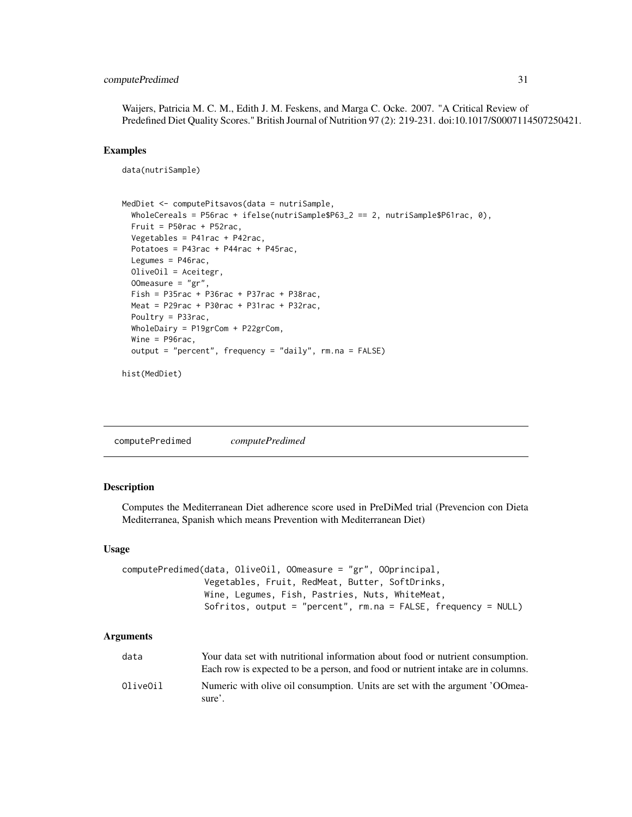## <span id="page-30-0"></span>computePredimed 31

Waijers, Patricia M. C. M., Edith J. M. Feskens, and Marga C. Ocke. 2007. "A Critical Review of Predefined Diet Quality Scores." British Journal of Nutrition 97 (2): 219-231. doi:10.1017/S0007114507250421.

#### Examples

```
data(nutriSample)
```

```
MedDiet <- computePitsavos(data = nutriSample,
 WholeCereals = P56rac + ifelse(nutriSample$P63_2 == 2, nutriSample$P61rac, 0),
 Fruit = P50rac + P52rac,
 Vegetables = P41rac + P42rac,
 Potatoes = P43rac + P44rac + P45rac,
 Legumes = P46rac,
 OliveOil = Aceitegr,
 OOmeasure = "gr",
 Fish = P35rac + P36rac + P37rac + P38rac,
 Meat = P29rac + P30rac + P31rac + P32rac,
 Poultry = P33rac,
 WholeDairy = P19grCom + P22grCom,
 Wine = P96rac,
 output = "percent", frequency = "daily", rm.na = FALSE)
```

```
hist(MedDiet)
```
computePredimed *computePredimed*

## Description

Computes the Mediterranean Diet adherence score used in PreDiMed trial (Prevencion con Dieta Mediterranea, Spanish which means Prevention with Mediterranean Diet)

#### Usage

```
computePredimed(data, OliveOil, OOmeasure = "gr", OOprincipal,
                Vegetables, Fruit, RedMeat, Butter, SoftDrinks,
                Wine, Legumes, Fish, Pastries, Nuts, WhiteMeat,
                Sofritos, output = "percent", rm.na = FALSE, frequency = NULL)
```

| data     | Your data set with nutritional information about food or nutrient consumption.<br>Each row is expected to be a person, and food or nutrient intake are in columns. |
|----------|--------------------------------------------------------------------------------------------------------------------------------------------------------------------|
| OliveOil | Numeric with olive oil consumption. Units are set with the argument 'OOmea-<br>sure'.                                                                              |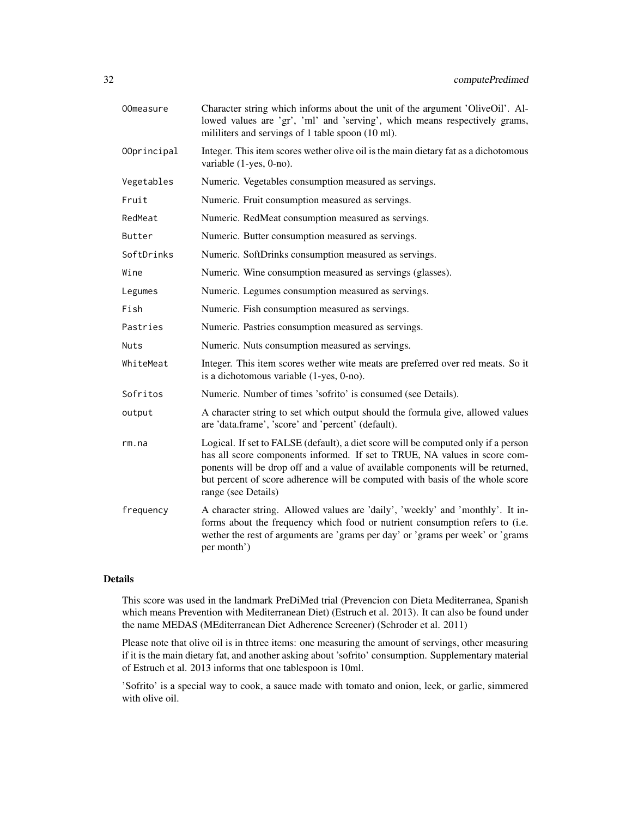| OOmeasure   | Character string which informs about the unit of the argument 'OliveOil'. Al-<br>lowed values are 'gr', 'ml' and 'serving', which means respectively grams,<br>mililiters and servings of 1 table spoon (10 ml).                                                                                                                                           |
|-------------|------------------------------------------------------------------------------------------------------------------------------------------------------------------------------------------------------------------------------------------------------------------------------------------------------------------------------------------------------------|
| 00principal | Integer. This item scores wether olive oil is the main dietary fat as a dichotomous<br>variable (1-yes, 0-no).                                                                                                                                                                                                                                             |
| Vegetables  | Numeric. Vegetables consumption measured as servings.                                                                                                                                                                                                                                                                                                      |
| Fruit       | Numeric. Fruit consumption measured as servings.                                                                                                                                                                                                                                                                                                           |
| RedMeat     | Numeric. RedMeat consumption measured as servings.                                                                                                                                                                                                                                                                                                         |
| Butter      | Numeric. Butter consumption measured as servings.                                                                                                                                                                                                                                                                                                          |
| SoftDrinks  | Numeric. SoftDrinks consumption measured as servings.                                                                                                                                                                                                                                                                                                      |
| Wine        | Numeric. Wine consumption measured as servings (glasses).                                                                                                                                                                                                                                                                                                  |
| Legumes     | Numeric. Legumes consumption measured as servings.                                                                                                                                                                                                                                                                                                         |
| Fish        | Numeric. Fish consumption measured as servings.                                                                                                                                                                                                                                                                                                            |
| Pastries    | Numeric. Pastries consumption measured as servings.                                                                                                                                                                                                                                                                                                        |
| Nuts        | Numeric. Nuts consumption measured as servings.                                                                                                                                                                                                                                                                                                            |
| WhiteMeat   | Integer. This item scores wether wite meats are preferred over red meats. So it<br>is a dichotomous variable (1-yes, 0-no).                                                                                                                                                                                                                                |
| Sofritos    | Numeric. Number of times 'sofrito' is consumed (see Details).                                                                                                                                                                                                                                                                                              |
| output      | A character string to set which output should the formula give, allowed values<br>are 'data.frame', 'score' and 'percent' (default).                                                                                                                                                                                                                       |
| rm.na       | Logical. If set to FALSE (default), a diet score will be computed only if a person<br>has all score components informed. If set to TRUE, NA values in score com-<br>ponents will be drop off and a value of available components will be returned,<br>but percent of score adherence will be computed with basis of the whole score<br>range (see Details) |
| frequency   | A character string. Allowed values are 'daily', 'weekly' and 'monthly'. It in-<br>forms about the frequency which food or nutrient consumption refers to (i.e.<br>wether the rest of arguments are 'grams per day' or 'grams per week' or 'grams<br>per month')                                                                                            |
|             |                                                                                                                                                                                                                                                                                                                                                            |

## Details

This score was used in the landmark PreDiMed trial (Prevencion con Dieta Mediterranea, Spanish which means Prevention with Mediterranean Diet) (Estruch et al. 2013). It can also be found under the name MEDAS (MEditerranean Diet Adherence Screener) (Schroder et al. 2011)

Please note that olive oil is in thtree items: one measuring the amount of servings, other measuring if it is the main dietary fat, and another asking about 'sofrito' consumption. Supplementary material of Estruch et al. 2013 informs that one tablespoon is 10ml.

'Sofrito' is a special way to cook, a sauce made with tomato and onion, leek, or garlic, simmered with olive oil.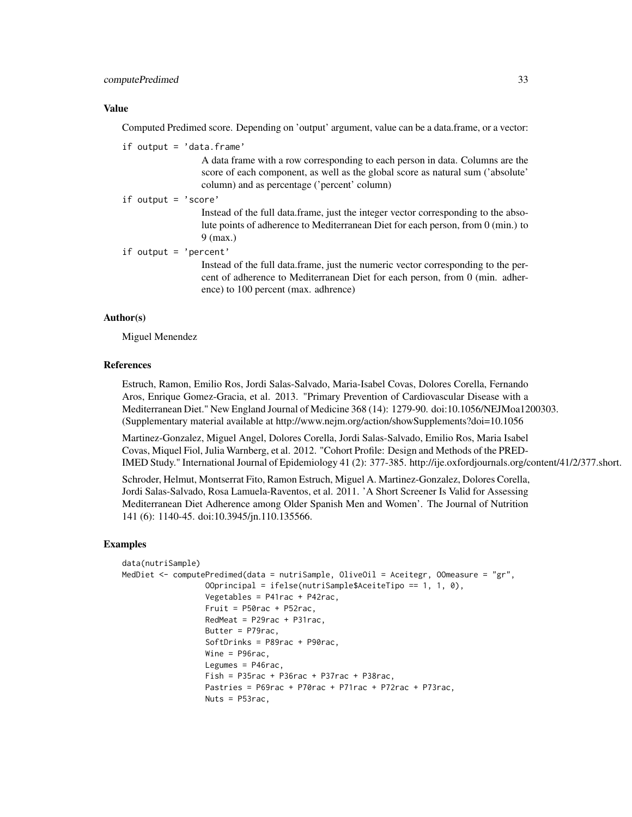#### computePredimed 33

#### Value

Computed Predimed score. Depending on 'output' argument, value can be a data.frame, or a vector:

if output = 'data.frame'

A data frame with a row corresponding to each person in data. Columns are the score of each component, as well as the global score as natural sum ('absolute' column) and as percentage ('percent' column)

if output = 'score'

Instead of the full data.frame, just the integer vector corresponding to the absolute points of adherence to Mediterranean Diet for each person, from 0 (min.) to 9 (max.)

```
if output = 'percent'
```
Instead of the full data.frame, just the numeric vector corresponding to the percent of adherence to Mediterranean Diet for each person, from 0 (min. adherence) to 100 percent (max. adhrence)

#### Author(s)

Miguel Menendez

#### References

Estruch, Ramon, Emilio Ros, Jordi Salas-Salvado, Maria-Isabel Covas, Dolores Corella, Fernando Aros, Enrique Gomez-Gracia, et al. 2013. "Primary Prevention of Cardiovascular Disease with a Mediterranean Diet." New England Journal of Medicine 368 (14): 1279-90. doi:10.1056/NEJMoa1200303. (Supplementary material available at http://www.nejm.org/action/showSupplements?doi=10.1056

Martinez-Gonzalez, Miguel Angel, Dolores Corella, Jordi Salas-Salvado, Emilio Ros, Maria Isabel Covas, Miquel Fiol, Julia Warnberg, et al. 2012. "Cohort Profile: Design and Methods of the PRED-IMED Study." International Journal of Epidemiology 41 (2): 377-385. http://ije.oxfordjournals.org/content/41/2/377.short.

Schroder, Helmut, Montserrat Fito, Ramon Estruch, Miguel A. Martinez-Gonzalez, Dolores Corella, Jordi Salas-Salvado, Rosa Lamuela-Raventos, et al. 2011. 'A Short Screener Is Valid for Assessing Mediterranean Diet Adherence among Older Spanish Men and Women'. The Journal of Nutrition 141 (6): 1140-45. doi:10.3945/jn.110.135566.

#### Examples

```
data(nutriSample)
MedDiet <- computePredimed(data = nutriSample, OliveOil = Aceitegr, OOmeasure = "gr",
                  OOprincipal = ifelse(nutriSample$AceiteTipo == 1, 1, 0),
                  Vegetables = P41rac + P42rac,
                  Fruit = P50rac + P52rac,
                  RedMeat = P29rac + P31rac,
                  Butter = P79rac,
                  SoftDrinks = P89rac + P90rac,
                  Wine = P96rac,
                  Legumes = P46rac,
                  Fish = P35rac + P36rac + P37rac + P38rac,
                  Pastries = P69rac + P70rac + P71rac + P72rac + P73rac,
                  Nuts = P53rac,
```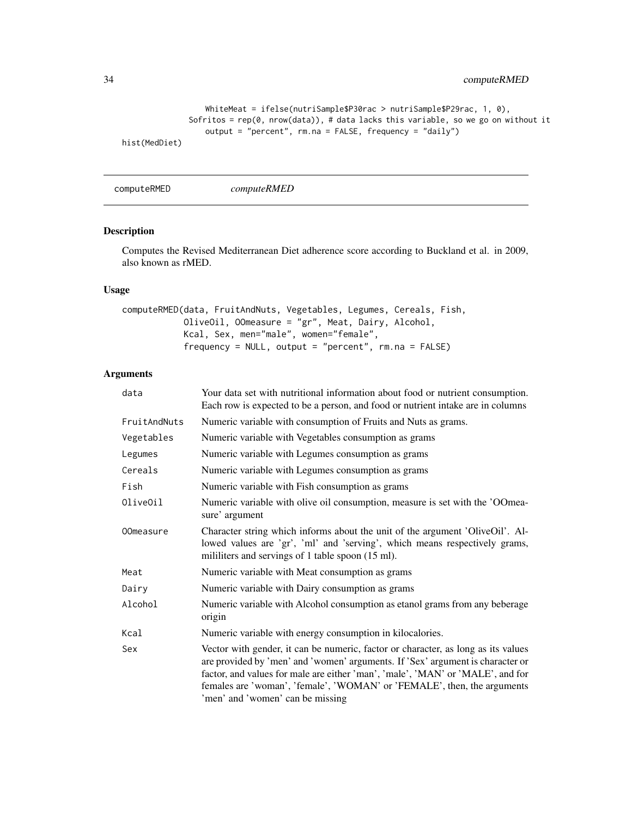```
WhiteMeat = ifelse(nutriSample$P30rac > nutriSample$P29rac, 1, 0),
              Sofritos = rep(\theta, nrow(data)), # data lacks this variable, so we go on without it
                  output = "percent", rm.na = FALSE, frequency = "daily")
hist(MedDiet)
```
computeRMED *computeRMED*

#### Description

Computes the Revised Mediterranean Diet adherence score according to Buckland et al. in 2009, also known as rMED.

## Usage

```
computeRMED(data, FruitAndNuts, Vegetables, Legumes, Cereals, Fish,
            OliveOil, OOmeasure = "gr", Meat, Dairy, Alcohol,
            Kcal, Sex, men="male", women="female",
            frequency = NULL, output = "percent", rm. na = FALSE)
```

| data             | Your data set with nutritional information about food or nutrient consumption.<br>Each row is expected to be a person, and food or nutrient intake are in columns                                                                                                                                                                                                    |
|------------------|----------------------------------------------------------------------------------------------------------------------------------------------------------------------------------------------------------------------------------------------------------------------------------------------------------------------------------------------------------------------|
| FruitAndNuts     | Numeric variable with consumption of Fruits and Nuts as grams.                                                                                                                                                                                                                                                                                                       |
| Vegetables       | Numeric variable with Vegetables consumption as grams                                                                                                                                                                                                                                                                                                                |
| Legumes          | Numeric variable with Legumes consumption as grams                                                                                                                                                                                                                                                                                                                   |
| Cereals          | Numeric variable with Legumes consumption as grams                                                                                                                                                                                                                                                                                                                   |
| Fish             | Numeric variable with Fish consumption as grams                                                                                                                                                                                                                                                                                                                      |
| OliveOil         | Numeric variable with olive oil consumption, measure is set with the 'OOmea-<br>sure' argument                                                                                                                                                                                                                                                                       |
| <b>OOmeasure</b> | Character string which informs about the unit of the argument 'OliveOil'. Al-<br>lowed values are 'gr', 'ml' and 'serving', which means respectively grams,<br>mililiters and servings of 1 table spoon (15 ml).                                                                                                                                                     |
| Meat             | Numeric variable with Meat consumption as grams                                                                                                                                                                                                                                                                                                                      |
| Dairy            | Numeric variable with Dairy consumption as grams                                                                                                                                                                                                                                                                                                                     |
| Alcohol          | Numeric variable with Alcohol consumption as etanol grams from any beberage<br>origin                                                                                                                                                                                                                                                                                |
| Kcal             | Numeric variable with energy consumption in kilocalories.                                                                                                                                                                                                                                                                                                            |
| Sex              | Vector with gender, it can be numeric, factor or character, as long as its values<br>are provided by 'men' and 'women' arguments. If 'Sex' argument is character or<br>factor, and values for male are either 'man', 'male', 'MAN' or 'MALE', and for<br>females are 'woman', 'female', 'WOMAN' or 'FEMALE', then, the arguments<br>'men' and 'women' can be missing |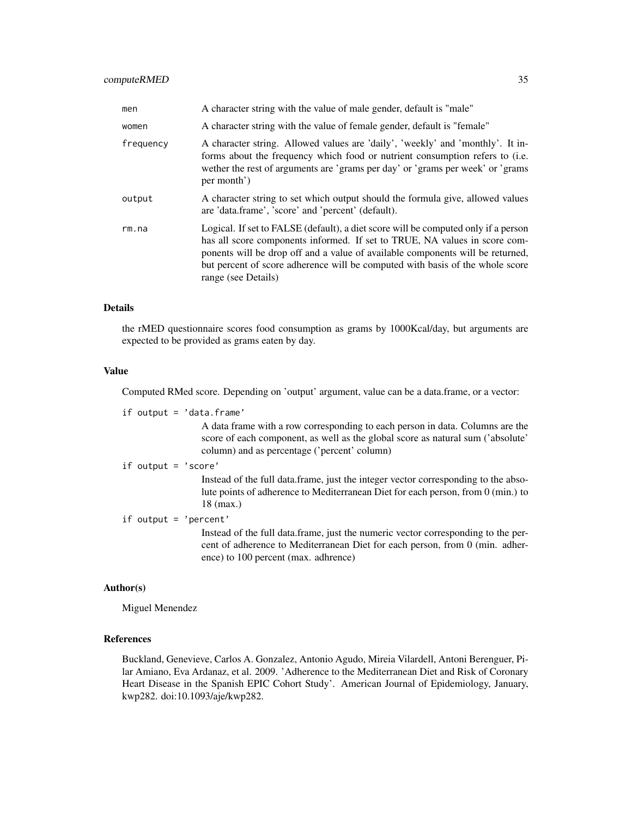| men       | A character string with the value of male gender, default is "male"                                                                                                                                                                                                                                                                                        |
|-----------|------------------------------------------------------------------------------------------------------------------------------------------------------------------------------------------------------------------------------------------------------------------------------------------------------------------------------------------------------------|
| women     | A character string with the value of female gender, default is "female"                                                                                                                                                                                                                                                                                    |
| frequency | A character string. Allowed values are 'daily', 'weekly' and 'monthly'. It in-<br>forms about the frequency which food or nutrient consumption refers to (i.e.<br>wether the rest of arguments are 'grams per day' or 'grams per week' or 'grams<br>per month')                                                                                            |
| output    | A character string to set which output should the formula give, allowed values<br>are 'data.frame', 'score' and 'percent' (default).                                                                                                                                                                                                                       |
| rm.na     | Logical. If set to FALSE (default), a diet score will be computed only if a person<br>has all score components informed. If set to TRUE, NA values in score com-<br>ponents will be drop off and a value of available components will be returned,<br>but percent of score adherence will be computed with basis of the whole score<br>range (see Details) |

#### Details

the rMED questionnaire scores food consumption as grams by 1000Kcal/day, but arguments are expected to be provided as grams eaten by day.

#### Value

Computed RMed score. Depending on 'output' argument, value can be a data.frame, or a vector:

if output = 'data.frame'

A data frame with a row corresponding to each person in data. Columns are the score of each component, as well as the global score as natural sum ('absolute' column) and as percentage ('percent' column)

if output = 'score'

Instead of the full data.frame, just the integer vector corresponding to the absolute points of adherence to Mediterranean Diet for each person, from 0 (min.) to 18 (max.)

if output = 'percent'

Instead of the full data.frame, just the numeric vector corresponding to the percent of adherence to Mediterranean Diet for each person, from 0 (min. adherence) to 100 percent (max. adhrence)

#### Author(s)

Miguel Menendez

## References

Buckland, Genevieve, Carlos A. Gonzalez, Antonio Agudo, Mireia Vilardell, Antoni Berenguer, Pilar Amiano, Eva Ardanaz, et al. 2009. 'Adherence to the Mediterranean Diet and Risk of Coronary Heart Disease in the Spanish EPIC Cohort Study'. American Journal of Epidemiology, January, kwp282. doi:10.1093/aje/kwp282.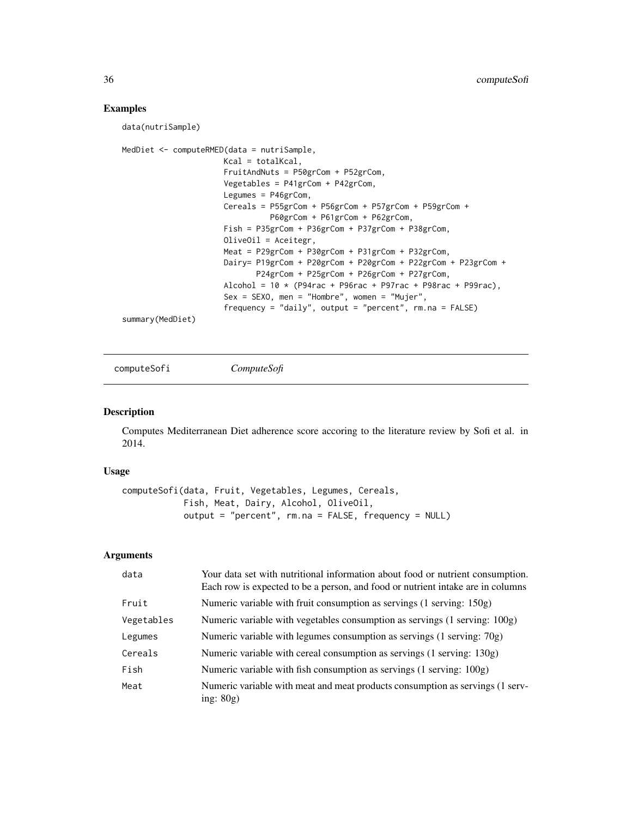#### Examples

data(nutriSample)

```
MedDiet <- computeRMED(data = nutriSample,
                      Kcal = totalKcal,
                      FruitAndNuts = P50grCom + P52grCom,
                      Vegetables = P41grCom + P42grCom,
                      Legumes = P46grCom,
                      Cereals = P55grCom + P56grCom + P57grCom + P59grCom +
                                P60grCom + P61grCom + P62grCom,
                      Fish = P35grCom + P36grCom + P37grCom + P38grCom,
                      OliveOil = Aceitegr,
                      Meat = P29grCom + P30grCom + P31grCom + P32grCom,
                      Dairy= P19grCom + P20grCom + P20grCom + P22grCom + P23grCom +
                             P24grCom + P25grCom + P26grCom + P27grCom,
                      Alcohol = 10 * (P94rac + P96rac + P97rac + P98rac + P98rac + P99rac)Sex = SEXO, men = "Hombre", women = "Mujer",
                      frequency = "daily", output = "percent", rm.na = FALSE)
summary(MedDiet)
```
computeSofi *ComputeSofi*

#### Description

Computes Mediterranean Diet adherence score accoring to the literature review by Sofi et al. in 2014.

#### Usage

```
computeSofi(data, Fruit, Vegetables, Legumes, Cereals,
            Fish, Meat, Dairy, Alcohol, OliveOil,
            output = "percent", rm.na = FALSE, frequency = NULL)
```

| data       | Your data set with nutritional information about food or nutrient consumption.<br>Each row is expected to be a person, and food or nutrient intake are in columns |
|------------|-------------------------------------------------------------------------------------------------------------------------------------------------------------------|
| Fruit      | Numeric variable with fruit consumption as servings (1 serving: 150g)                                                                                             |
| Vegetables | Numeric variable with vegetables consumption as servings (1 serving: 100g)                                                                                        |
| Legumes    | Numeric variable with legumes consumption as servings $(1 \text{ serving: } 70g)$                                                                                 |
| Cereals    | Numeric variable with cereal consumption as servings (1 serving: 130g)                                                                                            |
| Fish       | Numeric variable with fish consumption as servings (1 serving: 100g)                                                                                              |
| Meat       | Numeric variable with meat and meat products consumption as servings (1 serv-<br>ing: $80g$ )                                                                     |

<span id="page-35-0"></span>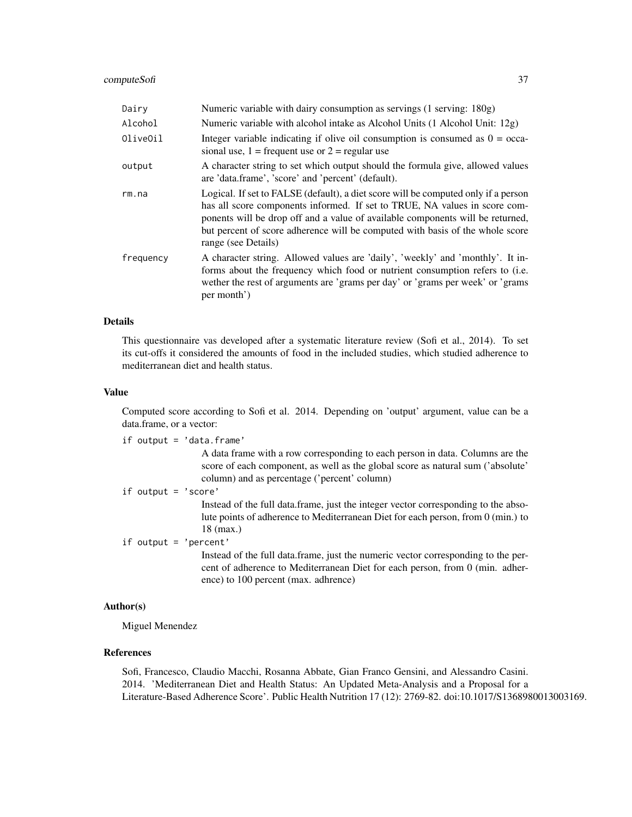#### computeSofi 37

| Dairy     | Numeric variable with dairy consumption as servings (1 serving: 180g)                                                                                                                                                                                                                                                                                      |
|-----------|------------------------------------------------------------------------------------------------------------------------------------------------------------------------------------------------------------------------------------------------------------------------------------------------------------------------------------------------------------|
| Alcohol   | Numeric variable with alcohol intake as Alcohol Units (1 Alcohol Unit: 12g)                                                                                                                                                                                                                                                                                |
| OliveOil  | Integer variable indicating if olive oil consumption is consumed as $0 = \text{occa}$<br>sional use, $1 =$ frequent use or $2 =$ regular use                                                                                                                                                                                                               |
| output    | A character string to set which output should the formula give, allowed values<br>are 'data.frame', 'score' and 'percent' (default).                                                                                                                                                                                                                       |
| rm.na     | Logical. If set to FALSE (default), a diet score will be computed only if a person<br>has all score components informed. If set to TRUE, NA values in score com-<br>ponents will be drop off and a value of available components will be returned,<br>but percent of score adherence will be computed with basis of the whole score<br>range (see Details) |
| frequency | A character string. Allowed values are 'daily', 'weekly' and 'monthly'. It in-<br>forms about the frequency which food or nutrient consumption refers to (i.e.<br>wether the rest of arguments are 'grams per day' or 'grams per week' or 'grams<br>per month')                                                                                            |

#### Details

This questionnaire vas developed after a systematic literature review (Sofi et al., 2014). To set its cut-offs it considered the amounts of food in the included studies, which studied adherence to mediterranean diet and health status.

#### Value

Computed score according to Sofi et al. 2014. Depending on 'output' argument, value can be a data.frame, or a vector:

if output = 'data.frame'

A data frame with a row corresponding to each person in data. Columns are the score of each component, as well as the global score as natural sum ('absolute' column) and as percentage ('percent' column)

if output = 'score'

Instead of the full data.frame, just the integer vector corresponding to the absolute points of adherence to Mediterranean Diet for each person, from 0 (min.) to 18 (max.)

if output = 'percent'

Instead of the full data.frame, just the numeric vector corresponding to the percent of adherence to Mediterranean Diet for each person, from 0 (min. adherence) to 100 percent (max. adhrence)

#### Author(s)

Miguel Menendez

## References

Sofi, Francesco, Claudio Macchi, Rosanna Abbate, Gian Franco Gensini, and Alessandro Casini. 2014. 'Mediterranean Diet and Health Status: An Updated Meta-Analysis and a Proposal for a Literature-Based Adherence Score'. Public Health Nutrition 17 (12): 2769-82. doi:10.1017/S1368980013003169.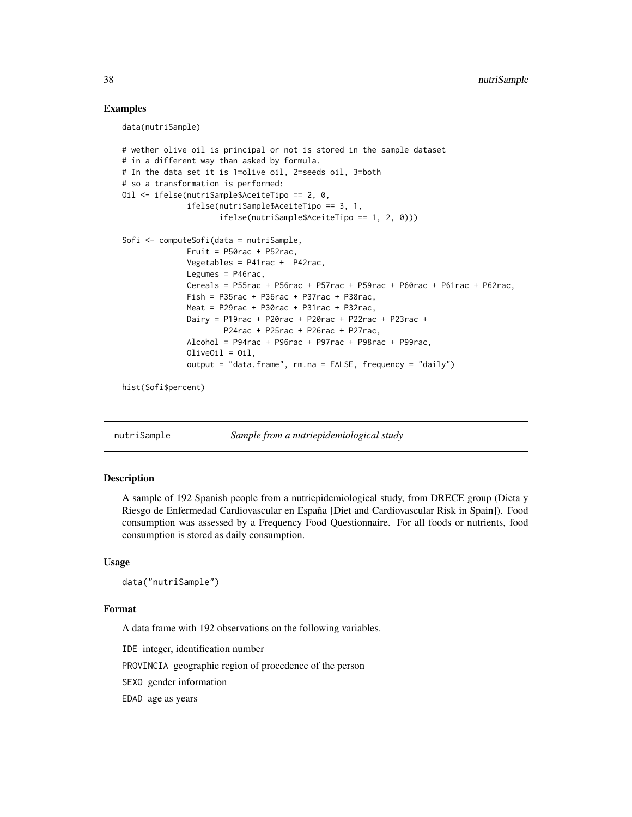#### Examples

data(nutriSample)

```
# wether olive oil is principal or not is stored in the sample dataset
# in a different way than asked by formula.
# In the data set it is 1=olive oil, 2=seeds oil, 3=both
# so a transformation is performed:
Oil <- ifelse(nutriSample$AceiteTipo == 2, 0,
              ifelse(nutriSample$AceiteTipo == 3, 1,
                     ifelse(nutriSample$AceiteTipo == 1, 2, 0)))
Sofi <- computeSofi(data = nutriSample,
              Fruit = P50rac + P52rac,
              Vegetables = P41rac + P42rac,
              Legumes = P46rac,
              Cereals = P55rac + P56rac + P57rac + P59rac + P60rac + P61rac + P62rac,
              Fish = P35rac + P36rac + P37rac + P38racMeat = P29rac + P30rac + P31rac + P32rac,
              Dairy = P19rac + P20rac + P20rac + P22rac + P23rac +
                      P24rac + P25rac + P26rac + P27rac,
              Alcohol = P94rac + P96rac + P97rac + P98rac + P99rac,
              OliveOil = Oil,
              output = "data.frame", rm.na = FALSE, frequency = "daily")
```
hist(Sofi\$percent)

nutriSample *Sample from a nutriepidemiological study*

#### Description

A sample of 192 Spanish people from a nutriepidemiological study, from DRECE group (Dieta y Riesgo de Enfermedad Cardiovascular en España [Diet and Cardiovascular Risk in Spain]). Food consumption was assessed by a Frequency Food Questionnaire. For all foods or nutrients, food consumption is stored as daily consumption.

#### Usage

```
data("nutriSample")
```
#### Format

A data frame with 192 observations on the following variables.

IDE integer, identification number

PROVINCIA geographic region of procedence of the person

SEXO gender information

EDAD age as years

<span id="page-37-0"></span>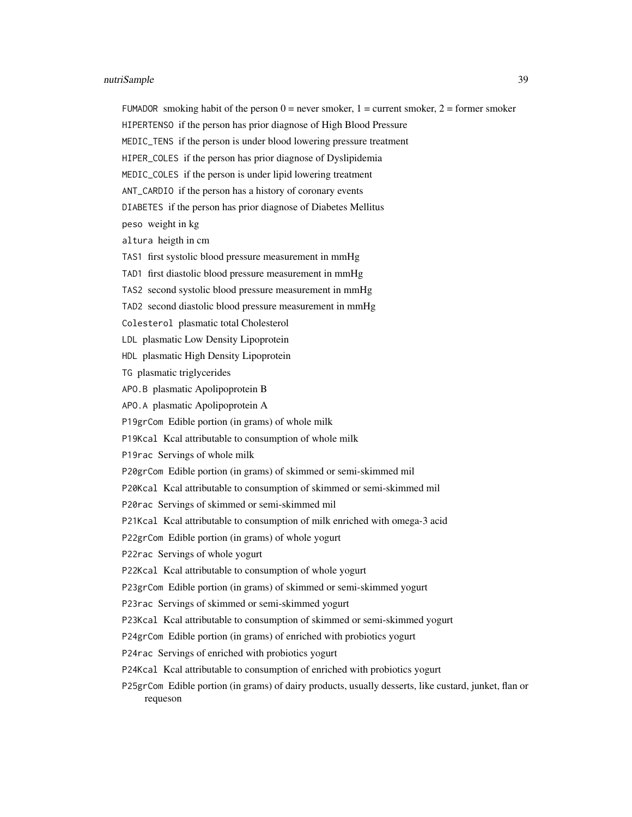FUMADOR smoking habit of the person  $0 =$  never smoker,  $1 =$  current smoker,  $2 =$  former smoker

HIPERTENSO if the person has prior diagnose of High Blood Pressure

MEDIC\_TENS if the person is under blood lowering pressure treatment

HIPER\_COLES if the person has prior diagnose of Dyslipidemia

MEDIC\_COLES if the person is under lipid lowering treatment

ANT\_CARDIO if the person has a history of coronary events

DIABETES if the person has prior diagnose of Diabetes Mellitus

peso weight in kg

altura heigth in cm

TAS1 first systolic blood pressure measurement in mmHg

TAD1 first diastolic blood pressure measurement in mmHg

TAS2 second systolic blood pressure measurement in mmHg

TAD2 second diastolic blood pressure measurement in mmHg

Colesterol plasmatic total Cholesterol

LDL plasmatic Low Density Lipoprotein

HDL plasmatic High Density Lipoprotein

TG plasmatic triglycerides

APO.B plasmatic Apolipoprotein B

APO.A plasmatic Apolipoprotein A

P19grCom Edible portion (in grams) of whole milk

P19Kcal Kcal attributable to consumption of whole milk

P19rac Servings of whole milk

P20grCom Edible portion (in grams) of skimmed or semi-skimmed mil

P20Kcal Kcal attributable to consumption of skimmed or semi-skimmed mil

P20rac Servings of skimmed or semi-skimmed mil

P21Kcal Kcal attributable to consumption of milk enriched with omega-3 acid

P22grCom Edible portion (in grams) of whole yogurt

P22rac Servings of whole yogurt

P22Kcal Kcal attributable to consumption of whole yogurt

P23grCom Edible portion (in grams) of skimmed or semi-skimmed yogurt

P23rac Servings of skimmed or semi-skimmed yogurt

P23Kcal Kcal attributable to consumption of skimmed or semi-skimmed yogurt

P24grCom Edible portion (in grams) of enriched with probiotics yogurt

P24rac Servings of enriched with probiotics yogurt

P24Kcal Kcal attributable to consumption of enriched with probiotics yogurt

P25grCom Edible portion (in grams) of dairy products, usually desserts, like custard, junket, flan or requeson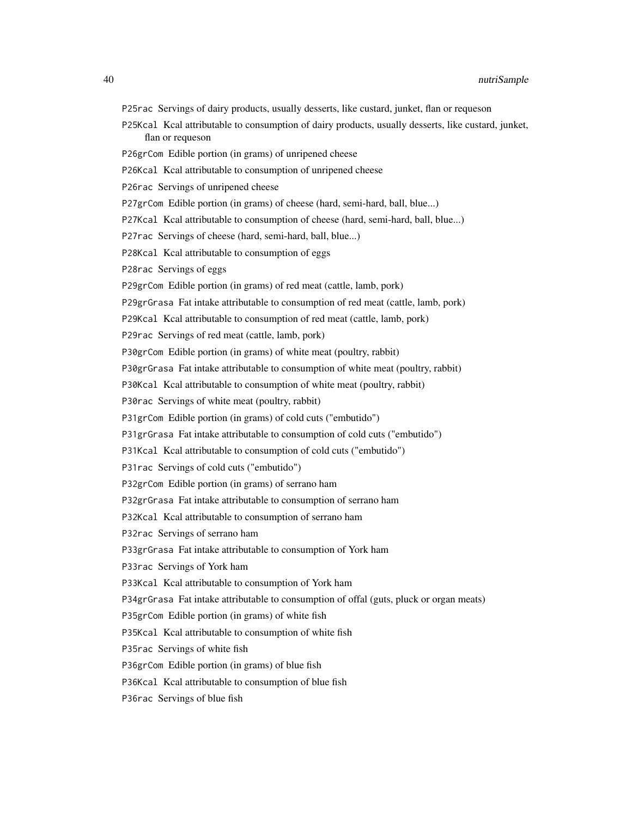P25rac Servings of dairy products, usually desserts, like custard, junket, flan or requeson P25Kcal Kcal attributable to consumption of dairy products, usually desserts, like custard, junket, flan or requeson P26grCom Edible portion (in grams) of unripened cheese P26Kcal Kcal attributable to consumption of unripened cheese P26rac Servings of unripened cheese P27grCom Edible portion (in grams) of cheese (hard, semi-hard, ball, blue...) P27Kcal Kcal attributable to consumption of cheese (hard, semi-hard, ball, blue...) P27rac Servings of cheese (hard, semi-hard, ball, blue...) P28Kcal Kcal attributable to consumption of eggs P28rac Servings of eggs P29grCom Edible portion (in grams) of red meat (cattle, lamb, pork) P29grGrasa Fat intake attributable to consumption of red meat (cattle, lamb, pork) P29Kcal Kcal attributable to consumption of red meat (cattle, lamb, pork) P29rac Servings of red meat (cattle, lamb, pork) P30grCom Edible portion (in grams) of white meat (poultry, rabbit) P30grGrasa Fat intake attributable to consumption of white meat (poultry, rabbit) P30Kcal Kcal attributable to consumption of white meat (poultry, rabbit) P30rac Servings of white meat (poultry, rabbit) P31grCom Edible portion (in grams) of cold cuts ("embutido") P31grGrasa Fat intake attributable to consumption of cold cuts ("embutido") P31Kcal Kcal attributable to consumption of cold cuts ("embutido") P31rac Servings of cold cuts ("embutido") P32grCom Edible portion (in grams) of serrano ham P32grGrasa Fat intake attributable to consumption of serrano ham P32Kcal Kcal attributable to consumption of serrano ham P32rac Servings of serrano ham P33grGrasa Fat intake attributable to consumption of York ham P33rac Servings of York ham P33Kcal Kcal attributable to consumption of York ham P34grGrasa Fat intake attributable to consumption of offal (guts, pluck or organ meats) P35grCom Edible portion (in grams) of white fish P35Kcal Kcal attributable to consumption of white fish P35rac Servings of white fish P36grCom Edible portion (in grams) of blue fish

P36Kcal Kcal attributable to consumption of blue fish

P36rac Servings of blue fish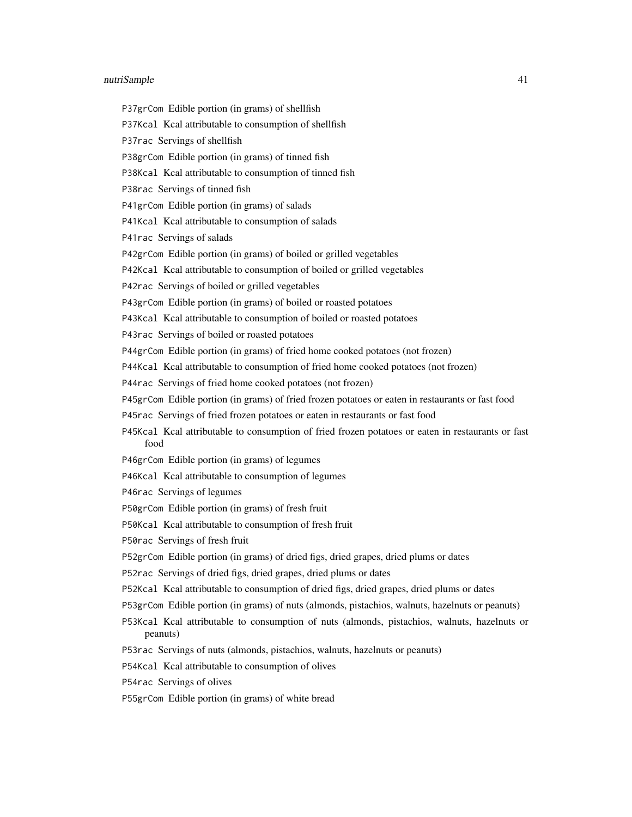P37grCom Edible portion (in grams) of shellfish

P37Kcal Kcal attributable to consumption of shellfish

P37rac Servings of shellfish

P38grCom Edible portion (in grams) of tinned fish

P38Kcal Kcal attributable to consumption of tinned fish

P38rac Servings of tinned fish

P41grCom Edible portion (in grams) of salads

P41Kcal Kcal attributable to consumption of salads

P41rac Servings of salads

P42grCom Edible portion (in grams) of boiled or grilled vegetables

P42Kcal Kcal attributable to consumption of boiled or grilled vegetables

P42rac Servings of boiled or grilled vegetables

P43grCom Edible portion (in grams) of boiled or roasted potatoes

P43Kcal Kcal attributable to consumption of boiled or roasted potatoes

P43rac Servings of boiled or roasted potatoes

P44grCom Edible portion (in grams) of fried home cooked potatoes (not frozen)

P44Kcal Kcal attributable to consumption of fried home cooked potatoes (not frozen)

P44rac Servings of fried home cooked potatoes (not frozen)

P45grCom Edible portion (in grams) of fried frozen potatoes or eaten in restaurants or fast food

P45rac Servings of fried frozen potatoes or eaten in restaurants or fast food

P45Kcal Kcal attributable to consumption of fried frozen potatoes or eaten in restaurants or fast food

P46grCom Edible portion (in grams) of legumes

P46Kcal Kcal attributable to consumption of legumes

P46rac Servings of legumes

P50grCom Edible portion (in grams) of fresh fruit

P50Kcal Kcal attributable to consumption of fresh fruit

P50rac Servings of fresh fruit

P52grCom Edible portion (in grams) of dried figs, dried grapes, dried plums or dates

P52rac Servings of dried figs, dried grapes, dried plums or dates

P52Kcal Kcal attributable to consumption of dried figs, dried grapes, dried plums or dates

P53grCom Edible portion (in grams) of nuts (almonds, pistachios, walnuts, hazelnuts or peanuts)

P53Kcal Kcal attributable to consumption of nuts (almonds, pistachios, walnuts, hazelnuts or peanuts)

P53rac Servings of nuts (almonds, pistachios, walnuts, hazelnuts or peanuts)

P54Kcal Kcal attributable to consumption of olives

P54rac Servings of olives

P55grCom Edible portion (in grams) of white bread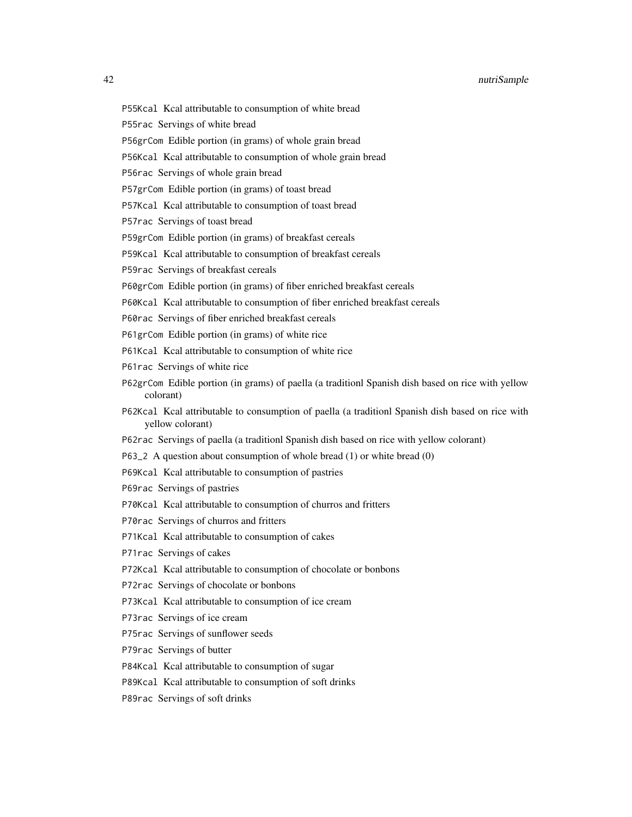P55Kcal Kcal attributable to consumption of white bread

P55rac Servings of white bread

P56grCom Edible portion (in grams) of whole grain bread

P56Kcal Kcal attributable to consumption of whole grain bread

P56rac Servings of whole grain bread

P57grCom Edible portion (in grams) of toast bread

P57Kcal Kcal attributable to consumption of toast bread

P57rac Servings of toast bread

P59grCom Edible portion (in grams) of breakfast cereals

P59Kcal Kcal attributable to consumption of breakfast cereals

P59rac Servings of breakfast cereals

- P60grCom Edible portion (in grams) of fiber enriched breakfast cereals
- P60Kcal Kcal attributable to consumption of fiber enriched breakfast cereals
- P60rac Servings of fiber enriched breakfast cereals
- P61grCom Edible portion (in grams) of white rice
- P61Kcal Kcal attributable to consumption of white rice
- P61rac Servings of white rice
- P62grCom Edible portion (in grams) of paella (a traditionl Spanish dish based on rice with yellow colorant)
- P62Kcal Kcal attributable to consumption of paella (a traditionl Spanish dish based on rice with yellow colorant)
- P62rac Servings of paella (a traditionl Spanish dish based on rice with yellow colorant)
- P63\_2 A question about consumption of whole bread (1) or white bread (0)
- P69Kcal Kcal attributable to consumption of pastries
- P69rac Servings of pastries

P70Kcal Kcal attributable to consumption of churros and fritters

P70rac Servings of churros and fritters

P71Kcal Kcal attributable to consumption of cakes

P71rac Servings of cakes

P72Kcal Kcal attributable to consumption of chocolate or bonbons

P72rac Servings of chocolate or bonbons

P73Kcal Kcal attributable to consumption of ice cream

P73rac Servings of ice cream

P75rac Servings of sunflower seeds

P79rac Servings of butter

P84Kcal Kcal attributable to consumption of sugar

P89Kcal Kcal attributable to consumption of soft drinks

P89rac Servings of soft drinks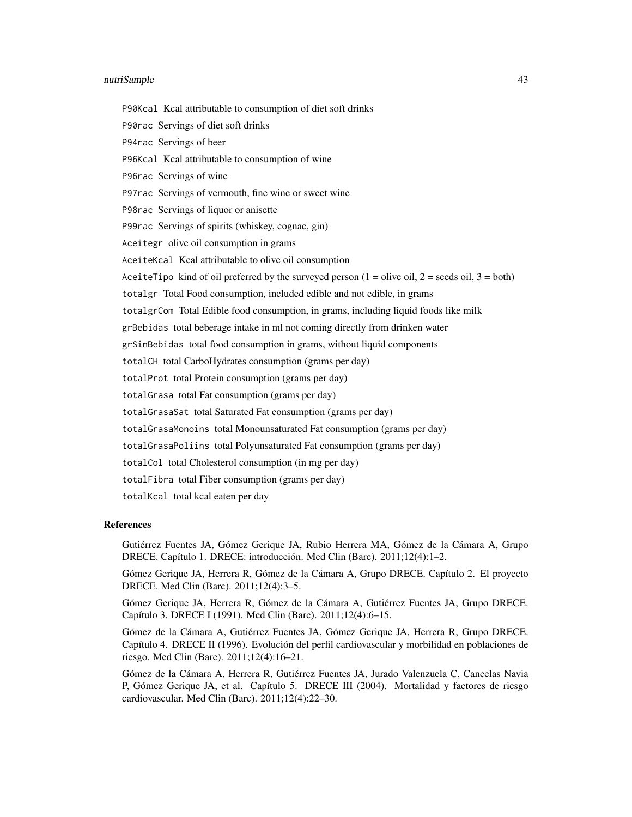P90Kcal Kcal attributable to consumption of diet soft drinks

P90rac Servings of diet soft drinks

P94rac Servings of beer

P96Kcal Kcal attributable to consumption of wine

P96rac Servings of wine

P97rac Servings of vermouth, fine wine or sweet wine

P98rac Servings of liquor or anisette

P99rac Servings of spirits (whiskey, cognac, gin)

Aceitegr olive oil consumption in grams

AceiteKcal Kcal attributable to olive oil consumption

Ace it et Tipo kind of oil preferred by the surveyed person  $(1 =$  olive oil,  $2 =$  seeds oil,  $3 =$  both)

totalgr Total Food consumption, included edible and not edible, in grams

totalgrCom Total Edible food consumption, in grams, including liquid foods like milk

grBebidas total beberage intake in ml not coming directly from drinken water

grSinBebidas total food consumption in grams, without liquid components

totalCH total CarboHydrates consumption (grams per day)

totalProt total Protein consumption (grams per day)

totalGrasa total Fat consumption (grams per day)

totalGrasaSat total Saturated Fat consumption (grams per day)

totalGrasaMonoins total Monounsaturated Fat consumption (grams per day)

totalGrasaPoliins total Polyunsaturated Fat consumption (grams per day)

totalCol total Cholesterol consumption (in mg per day)

totalFibra total Fiber consumption (grams per day)

totalKcal total kcal eaten per day

#### References

Gutiérrez Fuentes JA, Gómez Gerique JA, Rubio Herrera MA, Gómez de la Cámara A, Grupo DRECE. Capítulo 1. DRECE: introducción. Med Clin (Barc). 2011;12(4):1–2.

Gómez Gerique JA, Herrera R, Gómez de la Cámara A, Grupo DRECE. Capítulo 2. El proyecto DRECE. Med Clin (Barc). 2011;12(4):3–5.

Gómez Gerique JA, Herrera R, Gómez de la Cámara A, Gutiérrez Fuentes JA, Grupo DRECE. Capítulo 3. DRECE I (1991). Med Clin (Barc). 2011;12(4):6–15.

Gómez de la Cámara A, Gutiérrez Fuentes JA, Gómez Gerique JA, Herrera R, Grupo DRECE. Capítulo 4. DRECE II (1996). Evolución del perfil cardiovascular y morbilidad en poblaciones de riesgo. Med Clin (Barc). 2011;12(4):16–21.

Gómez de la Cámara A, Herrera R, Gutiérrez Fuentes JA, Jurado Valenzuela C, Cancelas Navia P, Gómez Gerique JA, et al. Capítulo 5. DRECE III (2004). Mortalidad y factores de riesgo cardiovascular. Med Clin (Barc). 2011;12(4):22–30.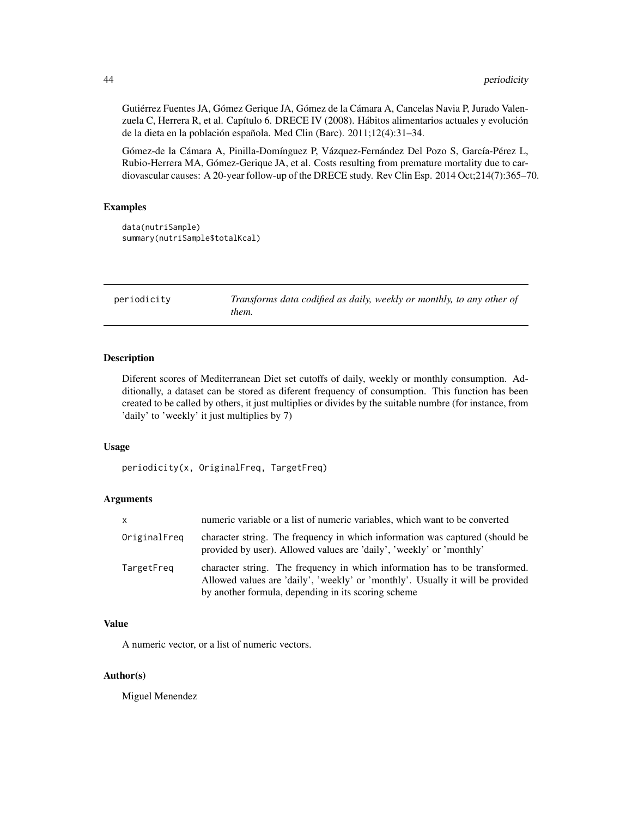Gutiérrez Fuentes JA, Gómez Gerique JA, Gómez de la Cámara A, Cancelas Navia P, Jurado Valenzuela C, Herrera R, et al. Capítulo 6. DRECE IV (2008). Hábitos alimentarios actuales y evolución de la dieta en la población española. Med Clin (Barc). 2011;12(4):31–34.

Gómez-de la Cámara A, Pinilla-Domínguez P, Vázquez-Fernández Del Pozo S, García-Pérez L, Rubio-Herrera MA, Gómez-Gerique JA, et al. Costs resulting from premature mortality due to cardiovascular causes: A 20-year follow-up of the DRECE study. Rev Clin Esp. 2014 Oct;214(7):365–70.

#### Examples

```
data(nutriSample)
summary(nutriSample$totalKcal)
```
periodicity *Transforms data codified as daily, weekly or monthly, to any other of them.*

## Description

Diferent scores of Mediterranean Diet set cutoffs of daily, weekly or monthly consumption. Additionally, a dataset can be stored as diferent frequency of consumption. This function has been created to be called by others, it just multiplies or divides by the suitable numbre (for instance, from 'daily' to 'weekly' it just multiplies by 7)

#### Usage

periodicity(x, OriginalFreq, TargetFreq)

## Arguments

| <b>X</b>     | numeric variable or a list of numeric variables, which want to be converted                                                                                                                                          |
|--------------|----------------------------------------------------------------------------------------------------------------------------------------------------------------------------------------------------------------------|
| OriginalFreq | character string. The frequency in which information was captured (should be<br>provided by user). Allowed values are 'daily', 'weekly' or 'monthly'                                                                 |
| TargetFreq   | character string. The frequency in which information has to be transformed.<br>Allowed values are 'daily', 'weekly' or 'monthly'. Usually it will be provided<br>by another formula, depending in its scoring scheme |

#### Value

A numeric vector, or a list of numeric vectors.

## Author(s)

Miguel Menendez

<span id="page-43-0"></span>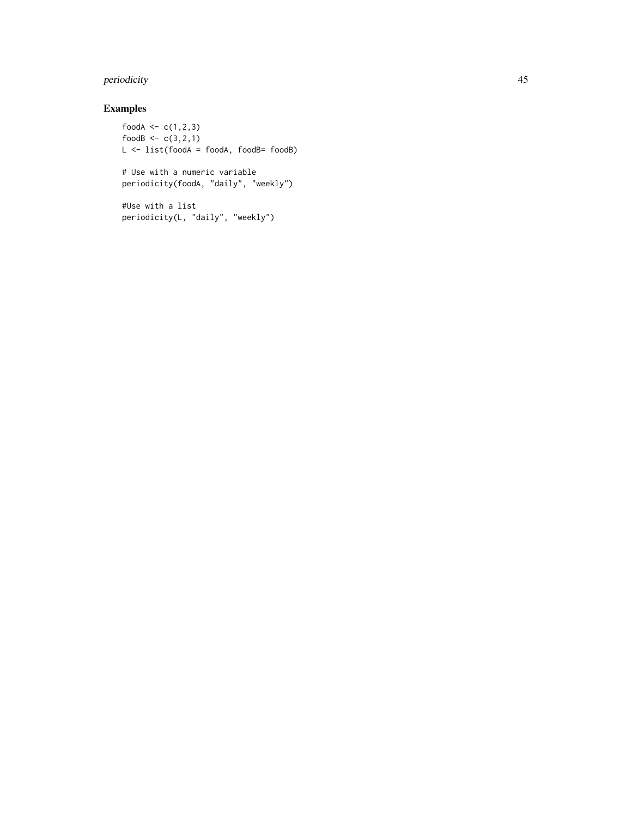## periodicity **45**

## Examples

```
foodA <- c(1, 2, 3)foodB <-c(3,2,1)L <- list(foodA = foodA, foodB= foodB)
# Use with a numeric variable
```

```
periodicity(foodA, "daily", "weekly")
```

```
#Use with a list
periodicity(L, "daily", "weekly")
```